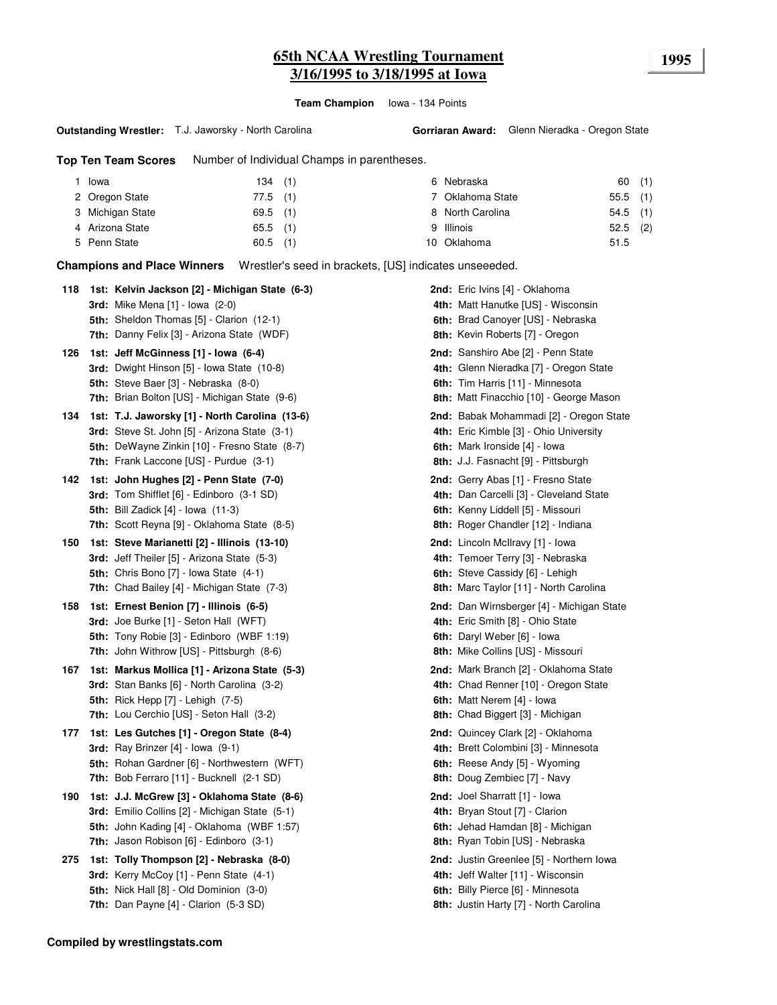### **65th NCAA Wrestling Tournament 1995 3/16/1995 to 3/18/1995 at Iowa**

**Team Champion** Iowa - 134 Points

#### **Outstanding Wrestler:** T.J. Jaworsky - North Carolina

**Top Ten Team Scores** Number of Individual Champs in parentheses.

| Iowa             | 134(1)     |  | 6 Nebraska       | 60(1)      |  |
|------------------|------------|--|------------------|------------|--|
| 2 Oregon State   | 77.5 (1)   |  | 7 Oklahoma State | $55.5$ (1) |  |
| 3 Michigan State | $69.5$ (1) |  | 8 North Carolina | $54.5$ (1) |  |
| 4 Arizona State  | $65.5$ (1) |  | 9 Illinois       | $52.5$ (2) |  |
| 5 Penn State     | $60.5$ (1) |  | 10 Oklahoma      | 51.5       |  |

**Champions and Place Winners** Wrestler's seed in brackets, [US] indicates unseeeded.

| 118 | 1st: Kelvin Jackson [2] - Michigan State (6-3)<br><b>3rd:</b> Mike Mena $[1]$ - Iowa $(2-0)$<br>5th: Sheldon Thomas [5] - Clarion (12-1)<br>7th: Danny Felix [3] - Arizona State (WDF)          | 2nd: Eric Ivins [4] - Oklahoma<br>4th: Matt Hanutke [US] - Wisconsin<br>6th: Brad Canoyer [US] - Nebraska<br>8th: Kevin Roberts [7] - Oregon                        |
|-----|-------------------------------------------------------------------------------------------------------------------------------------------------------------------------------------------------|---------------------------------------------------------------------------------------------------------------------------------------------------------------------|
| 126 | 1st: Jeff McGinness [1] - Iowa (6-4)<br>3rd: Dwight Hinson [5] - Iowa State (10-8)<br>5th: Steve Baer [3] - Nebraska (8-0)<br>7th: Brian Bolton [US] - Michigan State (9-6)                     | 2nd: Sanshiro Abe [2] - Penn State<br>4th: Glenn Nieradka [7] - Oregon State<br>6th: Tim Harris [11] - Minnesota<br>8th: Matt Finacchio [10] - George Mason         |
| 134 | 1st: T.J. Jaworsky [1] - North Carolina (13-6)<br>3rd: Steve St. John [5] - Arizona State (3-1)<br>5th: DeWayne Zinkin [10] - Fresno State (8-7)<br>7th: Frank Laccone [US] - Purdue (3-1)      | 2nd: Babak Mohammadi [2] - Oregon State<br>4th: Eric Kimble [3] - Ohio University<br>6th: Mark Ironside [4] - Iowa<br>8th: J.J. Fasnacht [9] - Pittsburgh           |
| 142 | 1st: John Hughes [2] - Penn State (7-0)<br><b>3rd:</b> Tom Shifflet [6] - Edinboro (3-1 SD)<br><b>5th:</b> Bill Zadick [4] - Iowa (11-3)<br><b>7th:</b> Scott Reyna [9] - Oklahoma State (8-5)  | 2nd: Gerry Abas [1] - Fresno State<br>4th: Dan Carcelli [3] - Cleveland State<br>6th: Kenny Liddell [5] - Missouri<br>8th: Roger Chandler [12] - Indiana            |
| 150 | 1st: Steve Marianetti [2] - Illinois (13-10)<br>3rd: Jeff Theiler [5] - Arizona State (5-3)<br><b>5th:</b> Chris Bono $[7]$ - Iowa State $(4-1)$<br>7th: Chad Bailey [4] - Michigan State (7-3) | 2nd: Lincoln McIlravy [1] - lowa<br>4th: Temoer Terry [3] - Nebraska<br>6th: Steve Cassidy [6] - Lehigh<br><b>8th:</b> Marc Taylor [11] - North Carolina            |
| 158 | 1st: Ernest Benion [7] - Illinois (6-5)<br><b>3rd:</b> Joe Burke [1] - Seton Hall (WFT)<br>5th: Tony Robie [3] - Edinboro (WBF 1:19)<br>7th: John Withrow [US] - Pittsburgh (8-6)               | <b>2nd:</b> Dan Wirnsberger [4] - Michigan State<br>4th: Eric Smith [8] - Ohio State<br>6th: Daryl Weber [6] - Iowa<br>8th: Mike Collins [US] - Missouri            |
| 167 | 1st: Markus Mollica [1] - Arizona State (5-3)<br>3rd: Stan Banks [6] - North Carolina (3-2)<br><b>5th:</b> Rick Hepp [7] - Lehigh (7-5)<br>7th: Lou Cerchio [US] - Seton Hall (3-2)             | <b>2nd:</b> Mark Branch [2] - Oklahoma State<br>4th: Chad Renner [10] - Oregon State<br>6th: Matt Nerem [4] - Iowa<br>8th: Chad Biggert [3] - Michigan              |
| 177 | 1st: Les Gutches [1] - Oregon State (8-4)<br>3rd: Ray Brinzer $[4]$ - lowa $(9-1)$<br>5th: Rohan Gardner [6] - Northwestern (WFT)<br>7th: Bob Ferraro [11] - Bucknell (2-1 SD)                  | 2nd: Quincey Clark [2] - Oklahoma<br>4th: Brett Colombini [3] - Minnesota<br>6th: Reese Andy [5] - Wyoming<br>8th: Doug Zembiec [7] - Navy                          |
| 190 | 1st: J.J. McGrew [3] - Oklahoma State (8-6)<br>3rd: Emilio Collins [2] - Michigan State (5-1)<br>5th: John Kading [4] - Oklahoma (WBF 1:57)<br>7th: Jason Robison [6] - Edinboro (3-1)          | 2nd: Joel Sharratt [1] - lowa<br>4th: Bryan Stout [7] - Clarion<br>6th: Jehad Hamdan [8] - Michigan<br>8th: Ryan Tobin [US] - Nebraska                              |
| 275 | 1st: Tolly Thompson [2] - Nebraska (8-0)<br>3rd: Kerry McCoy [1] - Penn State (4-1)<br>5th: Nick Hall [8] - Old Dominion (3-0)<br>7th: Dan Payne [4] - Clarion (5-3 SD)                         | <b>2nd:</b> Justin Greenlee [5] - Northern Iowa<br>4th: Jeff Walter [11] - Wisconsin<br>6th: Billy Pierce [6] - Minnesota<br>8th: Justin Harty [7] - North Carolina |
|     |                                                                                                                                                                                                 |                                                                                                                                                                     |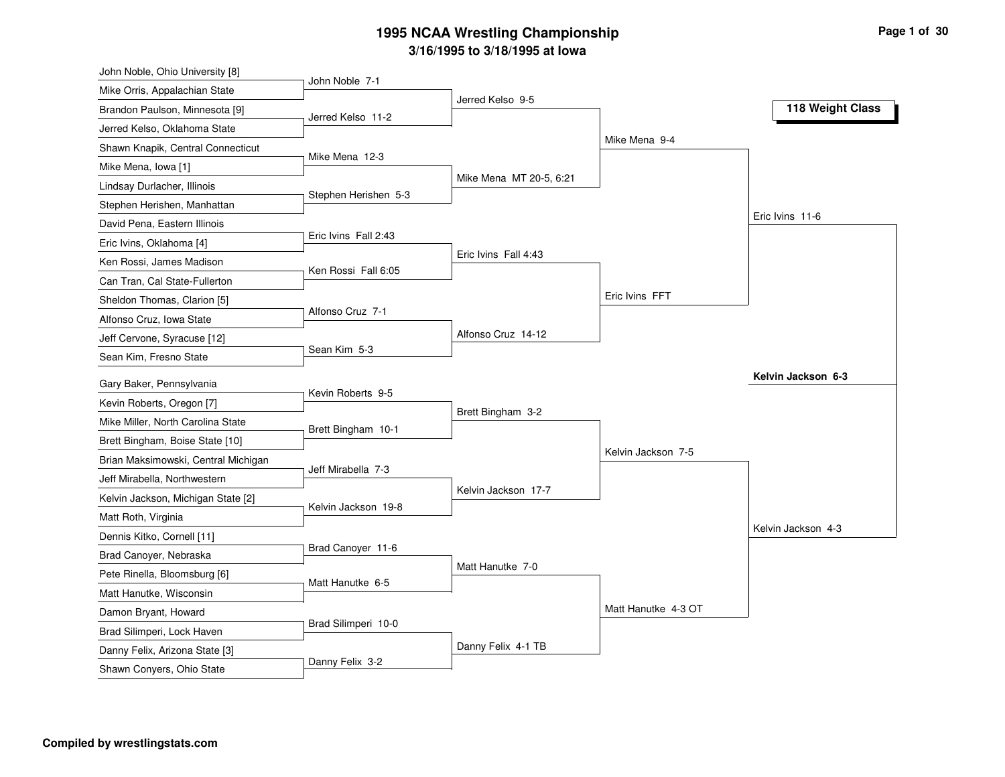| John Noble, Ohio University [8]     |                      |                         |                     |                    |
|-------------------------------------|----------------------|-------------------------|---------------------|--------------------|
| Mike Orris, Appalachian State       | John Noble 7-1       |                         |                     |                    |
| Brandon Paulson, Minnesota [9]      | Jerred Kelso 11-2    | Jerred Kelso 9-5        |                     | 118 Weight Class   |
| Jerred Kelso, Oklahoma State        |                      |                         |                     |                    |
| Shawn Knapik, Central Connecticut   |                      |                         | Mike Mena 9-4       |                    |
| Mike Mena, Iowa [1]                 | Mike Mena 12-3       |                         |                     |                    |
| Lindsay Durlacher, Illinois         |                      | Mike Mena MT 20-5, 6:21 |                     |                    |
| Stephen Herishen, Manhattan         | Stephen Herishen 5-3 |                         |                     |                    |
| David Pena, Eastern Illinois        |                      |                         |                     | Eric Ivins 11-6    |
| Eric Ivins, Oklahoma [4]            | Eric Ivins Fall 2:43 |                         |                     |                    |
| Ken Rossi, James Madison            |                      | Eric Ivins Fall 4:43    |                     |                    |
| Can Tran, Cal State-Fullerton       | Ken Rossi Fall 6:05  |                         |                     |                    |
| Sheldon Thomas, Clarion [5]         |                      |                         | Eric Ivins FFT      |                    |
| Alfonso Cruz, Iowa State            | Alfonso Cruz 7-1     |                         |                     |                    |
| Jeff Cervone, Syracuse [12]         |                      | Alfonso Cruz 14-12      |                     |                    |
| Sean Kim, Fresno State              | Sean Kim 5-3         |                         |                     |                    |
|                                     |                      |                         |                     | Kelvin Jackson 6-3 |
| Gary Baker, Pennsylvania            | Kevin Roberts 9-5    |                         |                     |                    |
| Kevin Roberts, Oregon [7]           |                      | Brett Bingham 3-2       |                     |                    |
| Mike Miller, North Carolina State   | Brett Bingham 10-1   |                         |                     |                    |
| Brett Bingham, Boise State [10]     |                      |                         | Kelvin Jackson 7-5  |                    |
| Brian Maksimowski, Central Michigan | Jeff Mirabella 7-3   |                         |                     |                    |
| Jeff Mirabella, Northwestern        |                      | Kelvin Jackson 17-7     |                     |                    |
| Kelvin Jackson, Michigan State [2]  | Kelvin Jackson 19-8  |                         |                     |                    |
| Matt Roth, Virginia                 |                      |                         |                     | Kelvin Jackson 4-3 |
| Dennis Kitko, Cornell [11]          | Brad Canoyer 11-6    |                         |                     |                    |
| Brad Canoyer, Nebraska              |                      | Matt Hanutke 7-0        |                     |                    |
| Pete Rinella, Bloomsburg [6]        | Matt Hanutke 6-5     |                         |                     |                    |
| Matt Hanutke, Wisconsin             |                      |                         | Matt Hanutke 4-3 OT |                    |
| Damon Bryant, Howard                | Brad Silimperi 10-0  |                         |                     |                    |
| Brad Silimperi, Lock Haven          |                      |                         |                     |                    |
| Danny Felix, Arizona State [3]      | Danny Felix 3-2      | Danny Felix 4-1 TB      |                     |                    |
| Shawn Conyers, Ohio State           |                      |                         |                     |                    |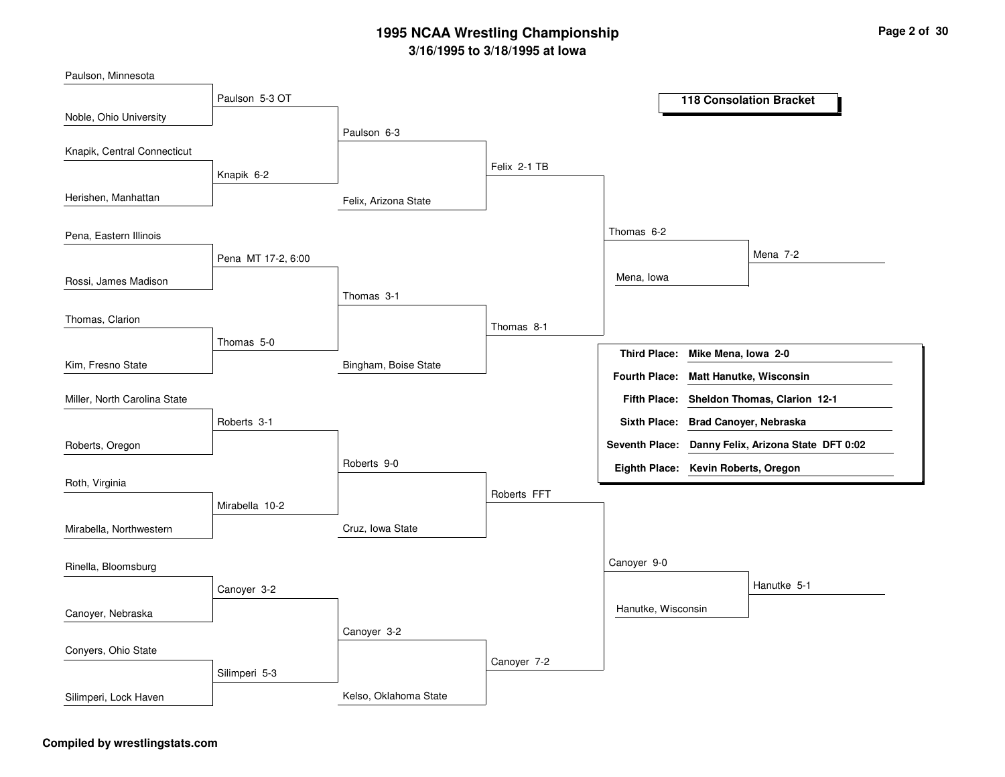Felix, Arizona StateBingham, Boise StateCruz, Iowa StateKelso, Oklahoma StatePaulson 6-3Thomas 3-1Roberts 9-0Canoyer 3-2Felix 2-1 TBThomas 8-1Roberts FFTCanoyer 7-2Thomas 6-2Canoyer 9-0Mena, IowaHanutke, WisconsinMena 7-2Hanutke 5-1Paulson 5-3 OTKnapik 6-2Pena MT 17-2, 6:00Thomas 5-0Roberts 3-1Mirabella 10-2Canoyer 3-2Silimperi 5-3Noble, Ohio UniversityHerishen, ManhattanRossi, James MadisonKim, Fresno StatePaulson, MinnesotaKnapik, Central ConnecticutPena, Eastern IllinoisThomas, ClarionRoberts, OregonMiller, North Carolina StateRoth, VirginiaMirabella, NorthwesternCanoyer, NebraskaRinella, BloomsburgConyers, Ohio StateSilimperi, Lock Haven**118 Consolation BracketMike Mena, Iowa 2-0Third Place:Sheldon Thomas, Clarion 12-1Fifth Place:Seventh Place: Danny Felix, Arizona State DFT 0:02Eighth Place: Kevin Roberts, OregonFourth Place: Matt Hanutke, WisconsinSixth Place: Brad Canoyer, Nebraska**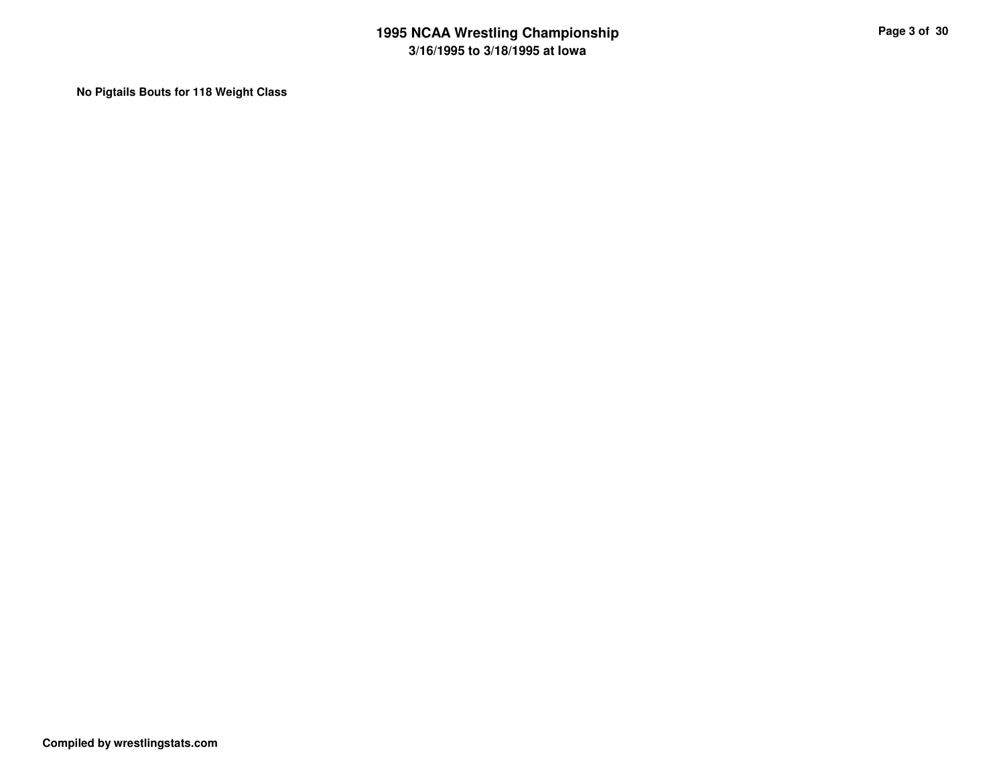**No Pigtails Bouts for 118 Weight Class**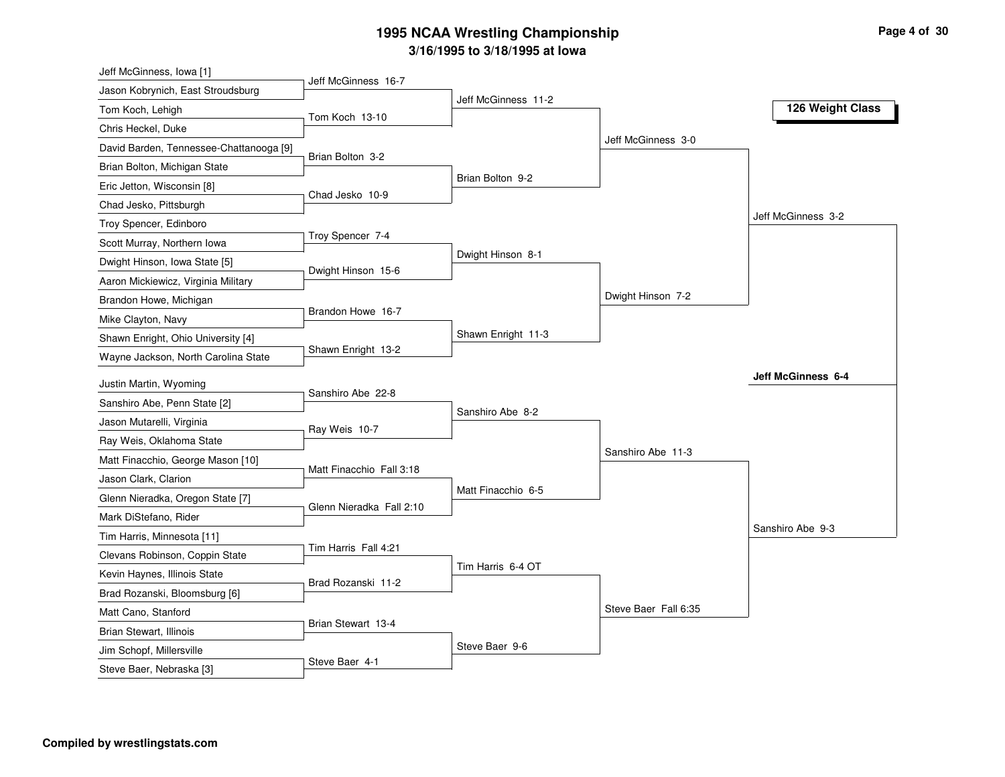| Jeff McGinness, Iowa [1]                                  |                          |                     |                      |                    |
|-----------------------------------------------------------|--------------------------|---------------------|----------------------|--------------------|
| Jason Kobrynich, East Stroudsburg                         | Jeff McGinness 16-7      |                     |                      |                    |
| Tom Koch, Lehigh                                          | Tom Koch 13-10           | Jeff McGinness 11-2 |                      | 126 Weight Class   |
| Chris Heckel, Duke                                        |                          |                     |                      |                    |
| David Barden, Tennessee-Chattanooga [9]                   |                          |                     | Jeff McGinness 3-0   |                    |
| Brian Bolton, Michigan State                              | Brian Bolton 3-2         |                     |                      |                    |
| Eric Jetton, Wisconsin [8]                                |                          | Brian Bolton 9-2    |                      |                    |
| Chad Jesko, Pittsburgh                                    | Chad Jesko 10-9          |                     |                      |                    |
| Troy Spencer, Edinboro                                    |                          |                     |                      | Jeff McGinness 3-2 |
| Scott Murray, Northern Iowa                               | Troy Spencer 7-4         |                     |                      |                    |
| Dwight Hinson, Iowa State [5]                             |                          | Dwight Hinson 8-1   |                      |                    |
| Aaron Mickiewicz, Virginia Military                       | Dwight Hinson 15-6       |                     |                      |                    |
| Brandon Howe, Michigan                                    |                          |                     | Dwight Hinson 7-2    |                    |
| Mike Clayton, Navy                                        | Brandon Howe 16-7        |                     |                      |                    |
| Shawn Enright, Ohio University [4]                        |                          | Shawn Enright 11-3  |                      |                    |
| Wayne Jackson, North Carolina State                       | Shawn Enright 13-2       |                     |                      |                    |
|                                                           |                          |                     |                      | Jeff McGinness 6-4 |
| Justin Martin, Wyoming<br>Sanshiro Abe, Penn State [2]    | Sanshiro Abe 22-8        |                     |                      |                    |
| Jason Mutarelli, Virginia                                 |                          | Sanshiro Abe 8-2    |                      |                    |
|                                                           | Ray Weis 10-7            |                     |                      |                    |
| Ray Weis, Oklahoma State                                  |                          |                     | Sanshiro Abe 11-3    |                    |
| Matt Finacchio, George Mason [10]<br>Jason Clark, Clarion | Matt Finacchio Fall 3:18 |                     |                      |                    |
|                                                           |                          | Matt Finacchio 6-5  |                      |                    |
| Glenn Nieradka, Oregon State [7]                          | Glenn Nieradka Fall 2:10 |                     |                      |                    |
| Mark DiStefano, Rider                                     |                          |                     |                      | Sanshiro Abe 9-3   |
| Tim Harris, Minnesota [11]                                | Tim Harris Fall 4:21     |                     |                      |                    |
| Clevans Robinson, Coppin State                            |                          | Tim Harris 6-4 OT   |                      |                    |
| Kevin Haynes, Illinois State                              | Brad Rozanski 11-2       |                     |                      |                    |
| Brad Rozanski, Bloomsburg [6]                             |                          |                     | Steve Baer Fall 6:35 |                    |
| Matt Cano, Stanford                                       | Brian Stewart 13-4       |                     |                      |                    |
| Brian Stewart, Illinois                                   |                          | Steve Baer 9-6      |                      |                    |
| Jim Schopf, Millersville                                  | Steve Baer 4-1           |                     |                      |                    |
| Steve Baer, Nebraska [3]                                  |                          |                     |                      |                    |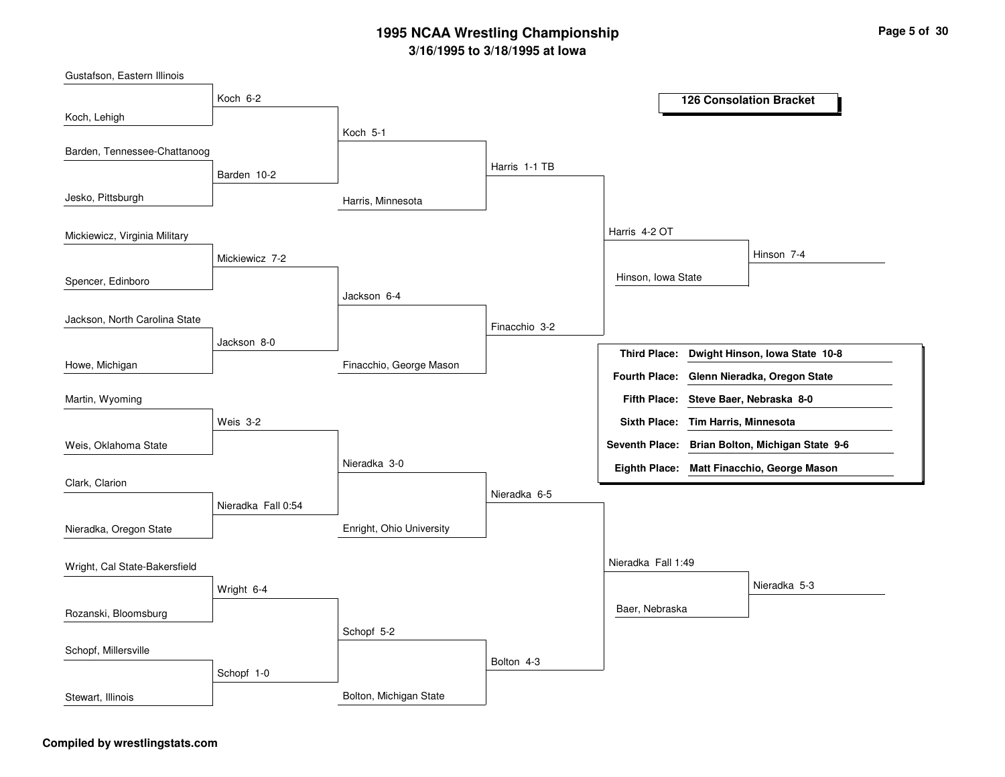Harris, MinnesotaFinacchio, George MasonEnright, Ohio UniversityBolton, Michigan StateKoch 5-1Jackson 6-4Nieradka 3-0Schopf 5-2Harris 1-1 TBFinacchio 3-2Nieradka 6-5Bolton 4-3Harris 4-2 OTNieradka Fall 1:49Hinson, Iowa StateBaer, NebraskaHinson 7-4Nieradka 5-3Koch 6-2Barden 10-2Mickiewicz 7-2Jackson 8-0Weis 3-2Nieradka Fall 0:54Wright 6-4Schopf 1-0Koch, LehighJesko, PittsburghSpencer, EdinboroHowe, MichiganGustafson, Eastern IllinoisBarden, Tennessee-ChattanoogMickiewicz, Virginia MilitaryJackson, North Carolina StateWeis, Oklahoma StateMartin, WyomingClark, ClarionNieradka, Oregon StateRozanski, BloomsburgWright, Cal State-BakersfieldSchopf, MillersvilleStewart, Illinois**126 Consolation BracketDwight Hinson, Iowa State 10-8Steve Baer, Nebraska 8-0Fifth Place:Third Place:Seventh Place: Brian Bolton, Michigan State 9-6Eighth Place: Matt Finacchio, George MasonFourth Place: Glenn Nieradka, Oregon StateSixth Place: Tim Harris, Minnesota**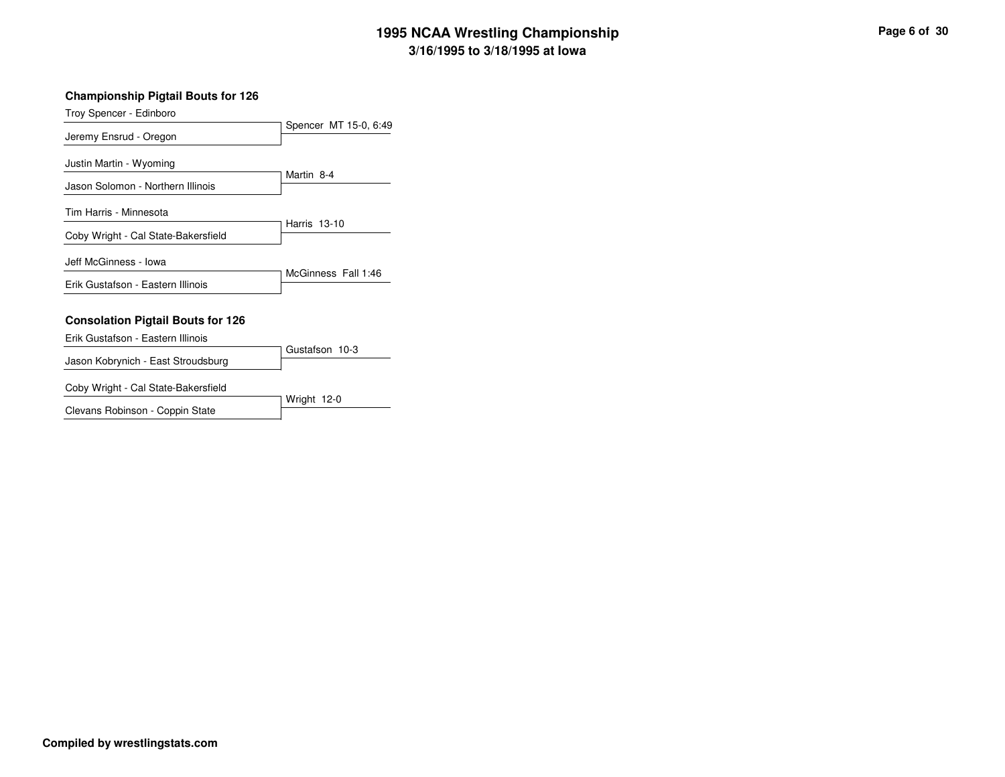#### **Championship Pigtail Bouts for 126**

Troy Spencer - Edinboro

|                                          | Spencer MT 15-0, 6:49 |
|------------------------------------------|-----------------------|
| Jeremy Ensrud - Oregon                   |                       |
| Justin Martin - Wyoming                  |                       |
| Jason Solomon - Northern Illinois        | Martin 8-4            |
| Tim Harris - Minnesota                   |                       |
| Coby Wright - Cal State-Bakersfield      | Harris 13-10          |
| Jeff McGinness - Iowa                    |                       |
| Erik Gustafson - Eastern Illinois        | McGinness Fall 1:46   |
|                                          |                       |
| <b>Consolation Pigtail Bouts for 126</b> |                       |
| Erik Gustafson - Eastern Illinois        |                       |
| Jason Kobrynich - East Stroudsburg       | Gustafson 10-3        |

Coby Wright - Cal State-Bakersfield

Wright 12-0Clevans Robinson - Coppin State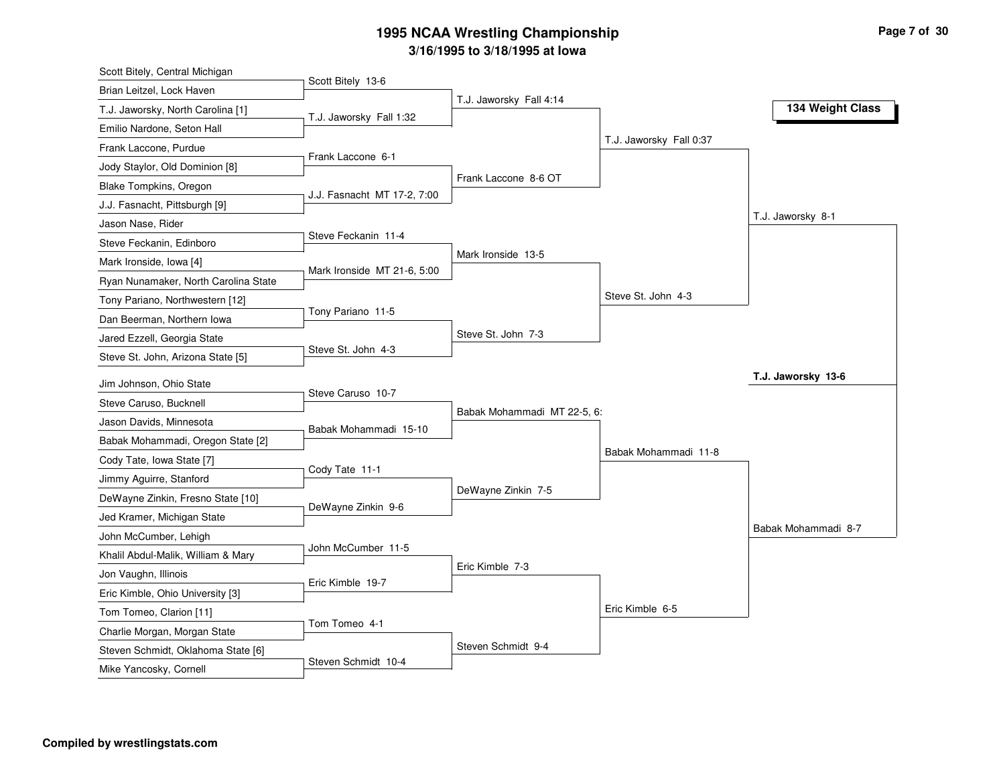| Scott Bitely 13-6<br>Brian Leitzel, Lock Haven<br>T.J. Jaworsky Fall 4:14<br>134 Weight Class<br>T.J. Jaworsky, North Carolina [1]<br>T.J. Jaworsky Fall 1:32<br>Emilio Nardone, Seton Hall<br>T.J. Jaworsky Fall 0:37<br>Frank Laccone, Purdue<br>Frank Laccone 6-1<br>Jody Staylor, Old Dominion [8]<br>Frank Laccone 8-6 OT<br><b>Blake Tompkins, Oregon</b><br>J.J. Fasnacht MT 17-2, 7:00<br>J.J. Fasnacht, Pittsburgh [9]<br>T.J. Jaworsky 8-1<br>Jason Nase, Rider<br>Steve Feckanin 11-4<br>Steve Feckanin, Edinboro<br>Mark Ironside 13-5<br>Mark Ironside, Iowa [4]<br>Mark Ironside MT 21-6, 5:00<br>Ryan Nunamaker, North Carolina State<br>Steve St. John 4-3<br>Tony Pariano, Northwestern [12]<br>Tony Pariano 11-5<br>Dan Beerman, Northern Iowa<br>Steve St. John 7-3<br>Jared Ezzell, Georgia State<br>Steve St. John 4-3<br>Steve St. John, Arizona State [5]<br>T.J. Jaworsky 13-6<br>Jim Johnson, Ohio State<br>Steve Caruso 10-7<br>Steve Caruso, Bucknell<br>Babak Mohammadi MT 22-5, 6:<br>Jason Davids, Minnesota<br>Babak Mohammadi 15-10<br>Babak Mohammadi, Oregon State [2]<br>Babak Mohammadi 11-8<br>Cody Tate, Iowa State [7]<br>Cody Tate 11-1<br>Jimmy Aguirre, Stanford<br>DeWayne Zinkin 7-5<br>DeWayne Zinkin, Fresno State [10]<br>DeWayne Zinkin 9-6<br>Jed Kramer, Michigan State<br>Babak Mohammadi 8-7<br>John McCumber, Lehigh<br>John McCumber 11-5<br>Khalil Abdul-Malik, William & Mary<br>Eric Kimble 7-3<br>Jon Vaughn, Illinois<br>Eric Kimble 19-7<br>Eric Kimble, Ohio University [3]<br>Eric Kimble 6-5<br>Tom Tomeo, Clarion [11] | Scott Bitely, Central Michigan |  |  |
|----------------------------------------------------------------------------------------------------------------------------------------------------------------------------------------------------------------------------------------------------------------------------------------------------------------------------------------------------------------------------------------------------------------------------------------------------------------------------------------------------------------------------------------------------------------------------------------------------------------------------------------------------------------------------------------------------------------------------------------------------------------------------------------------------------------------------------------------------------------------------------------------------------------------------------------------------------------------------------------------------------------------------------------------------------------------------------------------------------------------------------------------------------------------------------------------------------------------------------------------------------------------------------------------------------------------------------------------------------------------------------------------------------------------------------------------------------------------------------------------------------------------------------------------------------------------------------------|--------------------------------|--|--|
|                                                                                                                                                                                                                                                                                                                                                                                                                                                                                                                                                                                                                                                                                                                                                                                                                                                                                                                                                                                                                                                                                                                                                                                                                                                                                                                                                                                                                                                                                                                                                                                        |                                |  |  |
|                                                                                                                                                                                                                                                                                                                                                                                                                                                                                                                                                                                                                                                                                                                                                                                                                                                                                                                                                                                                                                                                                                                                                                                                                                                                                                                                                                                                                                                                                                                                                                                        |                                |  |  |
|                                                                                                                                                                                                                                                                                                                                                                                                                                                                                                                                                                                                                                                                                                                                                                                                                                                                                                                                                                                                                                                                                                                                                                                                                                                                                                                                                                                                                                                                                                                                                                                        |                                |  |  |
|                                                                                                                                                                                                                                                                                                                                                                                                                                                                                                                                                                                                                                                                                                                                                                                                                                                                                                                                                                                                                                                                                                                                                                                                                                                                                                                                                                                                                                                                                                                                                                                        |                                |  |  |
|                                                                                                                                                                                                                                                                                                                                                                                                                                                                                                                                                                                                                                                                                                                                                                                                                                                                                                                                                                                                                                                                                                                                                                                                                                                                                                                                                                                                                                                                                                                                                                                        |                                |  |  |
|                                                                                                                                                                                                                                                                                                                                                                                                                                                                                                                                                                                                                                                                                                                                                                                                                                                                                                                                                                                                                                                                                                                                                                                                                                                                                                                                                                                                                                                                                                                                                                                        |                                |  |  |
|                                                                                                                                                                                                                                                                                                                                                                                                                                                                                                                                                                                                                                                                                                                                                                                                                                                                                                                                                                                                                                                                                                                                                                                                                                                                                                                                                                                                                                                                                                                                                                                        |                                |  |  |
|                                                                                                                                                                                                                                                                                                                                                                                                                                                                                                                                                                                                                                                                                                                                                                                                                                                                                                                                                                                                                                                                                                                                                                                                                                                                                                                                                                                                                                                                                                                                                                                        |                                |  |  |
|                                                                                                                                                                                                                                                                                                                                                                                                                                                                                                                                                                                                                                                                                                                                                                                                                                                                                                                                                                                                                                                                                                                                                                                                                                                                                                                                                                                                                                                                                                                                                                                        |                                |  |  |
|                                                                                                                                                                                                                                                                                                                                                                                                                                                                                                                                                                                                                                                                                                                                                                                                                                                                                                                                                                                                                                                                                                                                                                                                                                                                                                                                                                                                                                                                                                                                                                                        |                                |  |  |
|                                                                                                                                                                                                                                                                                                                                                                                                                                                                                                                                                                                                                                                                                                                                                                                                                                                                                                                                                                                                                                                                                                                                                                                                                                                                                                                                                                                                                                                                                                                                                                                        |                                |  |  |
|                                                                                                                                                                                                                                                                                                                                                                                                                                                                                                                                                                                                                                                                                                                                                                                                                                                                                                                                                                                                                                                                                                                                                                                                                                                                                                                                                                                                                                                                                                                                                                                        |                                |  |  |
|                                                                                                                                                                                                                                                                                                                                                                                                                                                                                                                                                                                                                                                                                                                                                                                                                                                                                                                                                                                                                                                                                                                                                                                                                                                                                                                                                                                                                                                                                                                                                                                        |                                |  |  |
|                                                                                                                                                                                                                                                                                                                                                                                                                                                                                                                                                                                                                                                                                                                                                                                                                                                                                                                                                                                                                                                                                                                                                                                                                                                                                                                                                                                                                                                                                                                                                                                        |                                |  |  |
|                                                                                                                                                                                                                                                                                                                                                                                                                                                                                                                                                                                                                                                                                                                                                                                                                                                                                                                                                                                                                                                                                                                                                                                                                                                                                                                                                                                                                                                                                                                                                                                        |                                |  |  |
|                                                                                                                                                                                                                                                                                                                                                                                                                                                                                                                                                                                                                                                                                                                                                                                                                                                                                                                                                                                                                                                                                                                                                                                                                                                                                                                                                                                                                                                                                                                                                                                        |                                |  |  |
|                                                                                                                                                                                                                                                                                                                                                                                                                                                                                                                                                                                                                                                                                                                                                                                                                                                                                                                                                                                                                                                                                                                                                                                                                                                                                                                                                                                                                                                                                                                                                                                        |                                |  |  |
|                                                                                                                                                                                                                                                                                                                                                                                                                                                                                                                                                                                                                                                                                                                                                                                                                                                                                                                                                                                                                                                                                                                                                                                                                                                                                                                                                                                                                                                                                                                                                                                        |                                |  |  |
|                                                                                                                                                                                                                                                                                                                                                                                                                                                                                                                                                                                                                                                                                                                                                                                                                                                                                                                                                                                                                                                                                                                                                                                                                                                                                                                                                                                                                                                                                                                                                                                        |                                |  |  |
|                                                                                                                                                                                                                                                                                                                                                                                                                                                                                                                                                                                                                                                                                                                                                                                                                                                                                                                                                                                                                                                                                                                                                                                                                                                                                                                                                                                                                                                                                                                                                                                        |                                |  |  |
|                                                                                                                                                                                                                                                                                                                                                                                                                                                                                                                                                                                                                                                                                                                                                                                                                                                                                                                                                                                                                                                                                                                                                                                                                                                                                                                                                                                                                                                                                                                                                                                        |                                |  |  |
|                                                                                                                                                                                                                                                                                                                                                                                                                                                                                                                                                                                                                                                                                                                                                                                                                                                                                                                                                                                                                                                                                                                                                                                                                                                                                                                                                                                                                                                                                                                                                                                        |                                |  |  |
|                                                                                                                                                                                                                                                                                                                                                                                                                                                                                                                                                                                                                                                                                                                                                                                                                                                                                                                                                                                                                                                                                                                                                                                                                                                                                                                                                                                                                                                                                                                                                                                        |                                |  |  |
|                                                                                                                                                                                                                                                                                                                                                                                                                                                                                                                                                                                                                                                                                                                                                                                                                                                                                                                                                                                                                                                                                                                                                                                                                                                                                                                                                                                                                                                                                                                                                                                        |                                |  |  |
|                                                                                                                                                                                                                                                                                                                                                                                                                                                                                                                                                                                                                                                                                                                                                                                                                                                                                                                                                                                                                                                                                                                                                                                                                                                                                                                                                                                                                                                                                                                                                                                        |                                |  |  |
|                                                                                                                                                                                                                                                                                                                                                                                                                                                                                                                                                                                                                                                                                                                                                                                                                                                                                                                                                                                                                                                                                                                                                                                                                                                                                                                                                                                                                                                                                                                                                                                        |                                |  |  |
|                                                                                                                                                                                                                                                                                                                                                                                                                                                                                                                                                                                                                                                                                                                                                                                                                                                                                                                                                                                                                                                                                                                                                                                                                                                                                                                                                                                                                                                                                                                                                                                        |                                |  |  |
|                                                                                                                                                                                                                                                                                                                                                                                                                                                                                                                                                                                                                                                                                                                                                                                                                                                                                                                                                                                                                                                                                                                                                                                                                                                                                                                                                                                                                                                                                                                                                                                        |                                |  |  |
| Tom Tomeo 4-1                                                                                                                                                                                                                                                                                                                                                                                                                                                                                                                                                                                                                                                                                                                                                                                                                                                                                                                                                                                                                                                                                                                                                                                                                                                                                                                                                                                                                                                                                                                                                                          |                                |  |  |
| Charlie Morgan, Morgan State<br>Steven Schmidt 9-4                                                                                                                                                                                                                                                                                                                                                                                                                                                                                                                                                                                                                                                                                                                                                                                                                                                                                                                                                                                                                                                                                                                                                                                                                                                                                                                                                                                                                                                                                                                                     |                                |  |  |
| Steven Schmidt, Oklahoma State [6]<br>Steven Schmidt 10-4<br>Mike Yancosky, Cornell                                                                                                                                                                                                                                                                                                                                                                                                                                                                                                                                                                                                                                                                                                                                                                                                                                                                                                                                                                                                                                                                                                                                                                                                                                                                                                                                                                                                                                                                                                    |                                |  |  |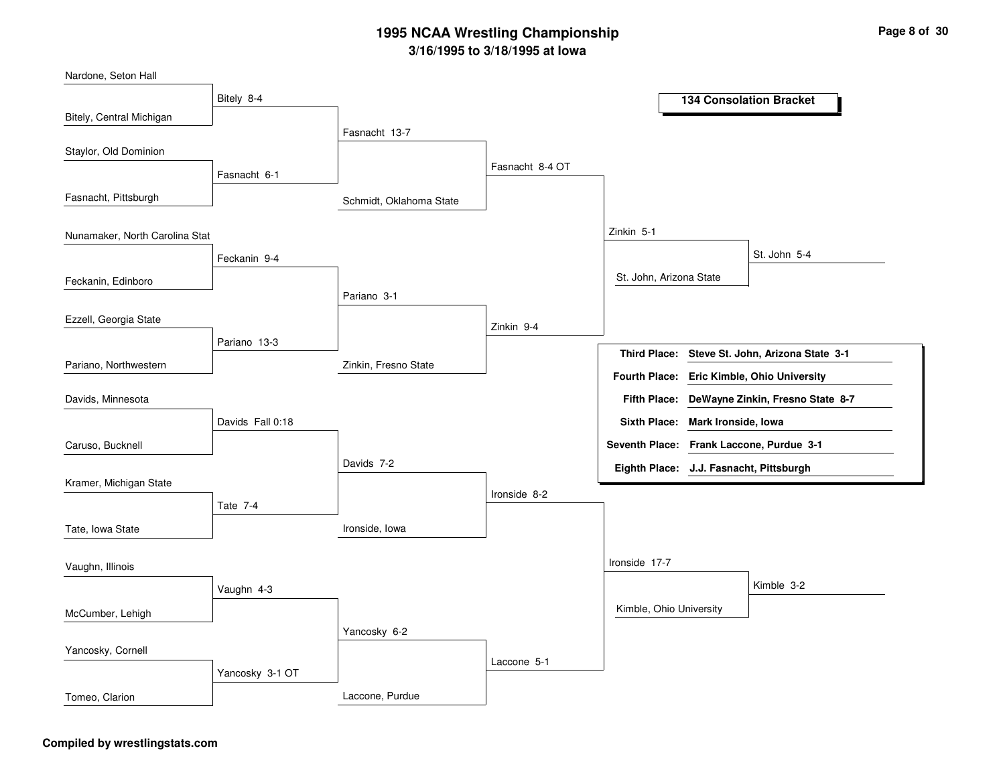| Nardone, Seton Hall            |                  |                         |                 |                                         |                                               |
|--------------------------------|------------------|-------------------------|-----------------|-----------------------------------------|-----------------------------------------------|
|                                | Bitely 8-4       |                         |                 |                                         | <b>134 Consolation Bracket</b>                |
| Bitely, Central Michigan       |                  |                         |                 |                                         |                                               |
|                                |                  | Fasnacht 13-7           |                 |                                         |                                               |
| Staylor, Old Dominion          |                  |                         |                 |                                         |                                               |
|                                | Fasnacht 6-1     |                         | Fasnacht 8-4 OT |                                         |                                               |
| Fasnacht, Pittsburgh           |                  | Schmidt, Oklahoma State |                 |                                         |                                               |
| Nunamaker, North Carolina Stat |                  |                         |                 | Zinkin 5-1                              |                                               |
|                                | Feckanin 9-4     |                         |                 |                                         | St. John 5-4                                  |
| Feckanin, Edinboro             |                  |                         |                 | St. John, Arizona State                 |                                               |
|                                |                  | Pariano 3-1             |                 |                                         |                                               |
| Ezzell, Georgia State          |                  |                         | Zinkin 9-4      |                                         |                                               |
|                                | Pariano 13-3     |                         |                 | <b>Third Place:</b>                     | Steve St. John, Arizona State 3-1             |
| Pariano, Northwestern          |                  | Zinkin, Fresno State    |                 |                                         |                                               |
|                                |                  |                         |                 |                                         | Fourth Place: Eric Kimble, Ohio University    |
| Davids, Minnesota              |                  |                         |                 |                                         | Fifth Place: DeWayne Zinkin, Fresno State 8-7 |
|                                | Davids Fall 0:18 |                         |                 | Sixth Place: Mark Ironside, Iowa        |                                               |
| Caruso, Bucknell               |                  |                         |                 |                                         | Seventh Place: Frank Laccone, Purdue 3-1      |
|                                |                  | Davids 7-2              |                 | Eighth Place: J.J. Fasnacht, Pittsburgh |                                               |
| Kramer, Michigan State         |                  |                         | Ironside 8-2    |                                         |                                               |
|                                | Tate 7-4         |                         |                 |                                         |                                               |
| Tate, Iowa State               |                  | Ironside, Iowa          |                 |                                         |                                               |
|                                |                  |                         |                 | Ironside 17-7                           |                                               |
| Vaughn, Illinois               |                  |                         |                 |                                         |                                               |
|                                | Vaughn 4-3       |                         |                 |                                         | Kimble 3-2                                    |
| McCumber, Lehigh               |                  |                         |                 | Kimble, Ohio University                 |                                               |
|                                |                  | Yancosky 6-2            |                 |                                         |                                               |
| Yancosky, Cornell              |                  |                         |                 |                                         |                                               |
|                                | Yancosky 3-1 OT  |                         | Laccone 5-1     |                                         |                                               |
| Tomeo, Clarion                 |                  | Laccone, Purdue         |                 |                                         |                                               |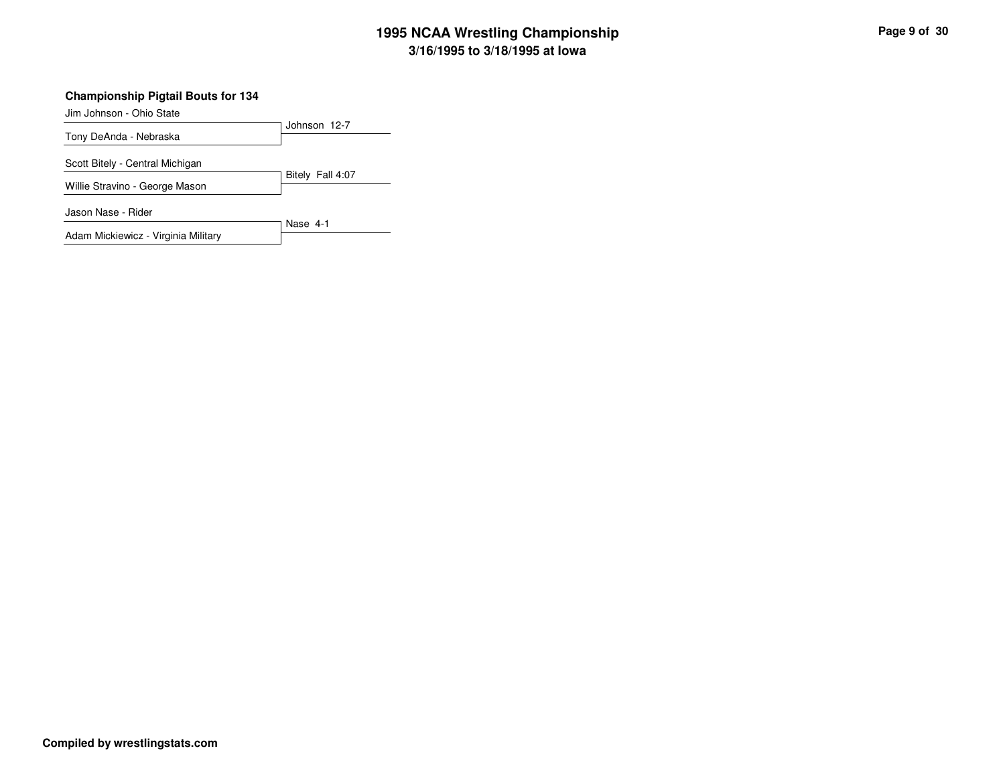#### **Championship Pigtail Bouts for 134**

Jim Johnson - Ohio State

| .                                   |                  |
|-------------------------------------|------------------|
| Tony DeAnda - Nebraska              | Johnson 12-7     |
|                                     |                  |
| Scott Bitely - Central Michigan     |                  |
|                                     | Bitely Fall 4:07 |
| Willie Stravino - George Mason      |                  |
| Jason Nase - Rider                  |                  |
|                                     | Nase 4-1         |
| Adam Mickiewicz - Virginia Military |                  |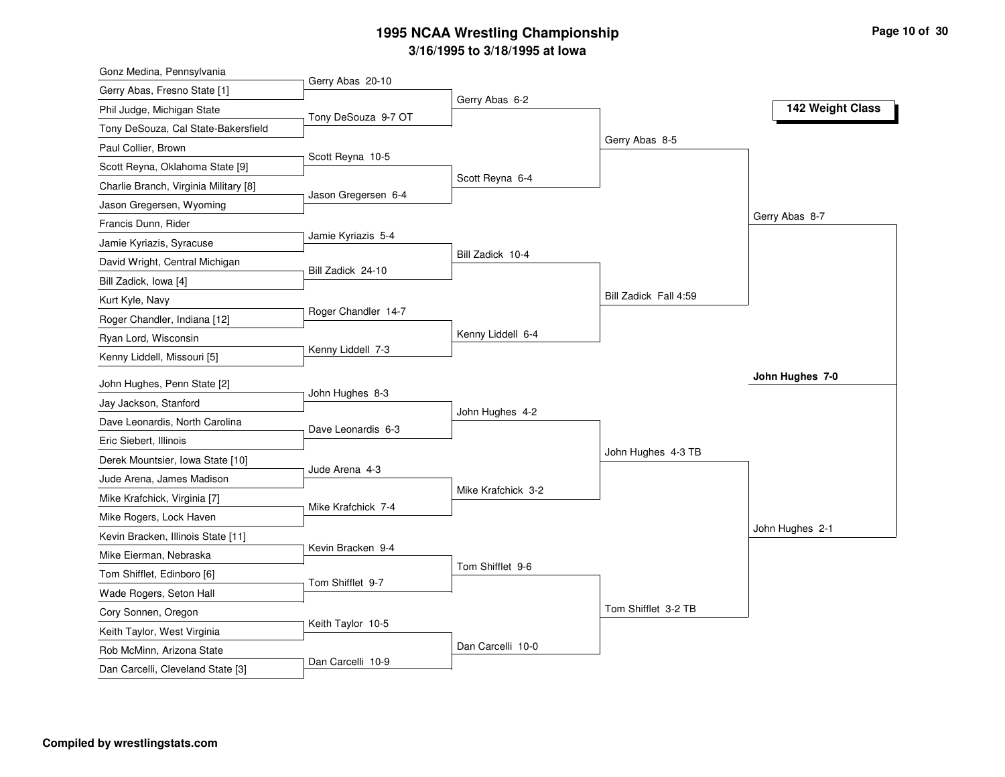| Gonz Medina, Pennsylvania                            |                     |                    |                       |                  |
|------------------------------------------------------|---------------------|--------------------|-----------------------|------------------|
| Gerry Abas, Fresno State [1]                         | Gerry Abas 20-10    |                    |                       |                  |
| Phil Judge, Michigan State                           | Tony DeSouza 9-7 OT | Gerry Abas 6-2     |                       | 142 Weight Class |
| Tony DeSouza, Cal State-Bakersfield                  |                     |                    |                       |                  |
| Paul Collier, Brown                                  |                     |                    | Gerry Abas 8-5        |                  |
| Scott Reyna, Oklahoma State [9]                      | Scott Reyna 10-5    |                    |                       |                  |
| Charlie Branch, Virginia Military [8]                |                     | Scott Reyna 6-4    |                       |                  |
| Jason Gregersen, Wyoming                             | Jason Gregersen 6-4 |                    |                       |                  |
| Francis Dunn, Rider                                  |                     |                    |                       | Gerry Abas 8-7   |
| Jamie Kyriazis, Syracuse                             | Jamie Kyriazis 5-4  |                    |                       |                  |
| David Wright, Central Michigan                       |                     | Bill Zadick 10-4   |                       |                  |
| Bill Zadick, Iowa [4]                                | Bill Zadick 24-10   |                    |                       |                  |
| Kurt Kyle, Navy                                      |                     |                    | Bill Zadick Fall 4:59 |                  |
| Roger Chandler, Indiana [12]                         | Roger Chandler 14-7 |                    |                       |                  |
| Ryan Lord, Wisconsin                                 |                     | Kenny Liddell 6-4  |                       |                  |
| Kenny Liddell, Missouri [5]                          | Kenny Liddell 7-3   |                    |                       |                  |
|                                                      |                     |                    |                       | John Hughes 7-0  |
| John Hughes, Penn State [2]<br>Jay Jackson, Stanford | John Hughes 8-3     |                    |                       |                  |
|                                                      |                     | John Hughes 4-2    |                       |                  |
| Dave Leonardis, North Carolina                       | Dave Leonardis 6-3  |                    |                       |                  |
| Eric Siebert, Illinois                               |                     |                    | John Hughes 4-3 TB    |                  |
| Derek Mountsier, Iowa State [10]                     | Jude Arena 4-3      |                    |                       |                  |
| Jude Arena, James Madison                            |                     | Mike Krafchick 3-2 |                       |                  |
| Mike Krafchick, Virginia [7]                         | Mike Krafchick 7-4  |                    |                       |                  |
| Mike Rogers, Lock Haven                              |                     |                    |                       | John Hughes 2-1  |
| Kevin Bracken, Illinois State [11]                   | Kevin Bracken 9-4   |                    |                       |                  |
| Mike Eierman, Nebraska                               |                     | Tom Shifflet 9-6   |                       |                  |
| Tom Shifflet, Edinboro [6]                           | Tom Shifflet 9-7    |                    |                       |                  |
| Wade Rogers, Seton Hall                              |                     |                    | Tom Shifflet 3-2 TB   |                  |
| Cory Sonnen, Oregon                                  | Keith Taylor 10-5   |                    |                       |                  |
| Keith Taylor, West Virginia                          |                     | Dan Carcelli 10-0  |                       |                  |
| Rob McMinn, Arizona State                            | Dan Carcelli 10-9   |                    |                       |                  |
| Dan Carcelli, Cleveland State [3]                    |                     |                    |                       |                  |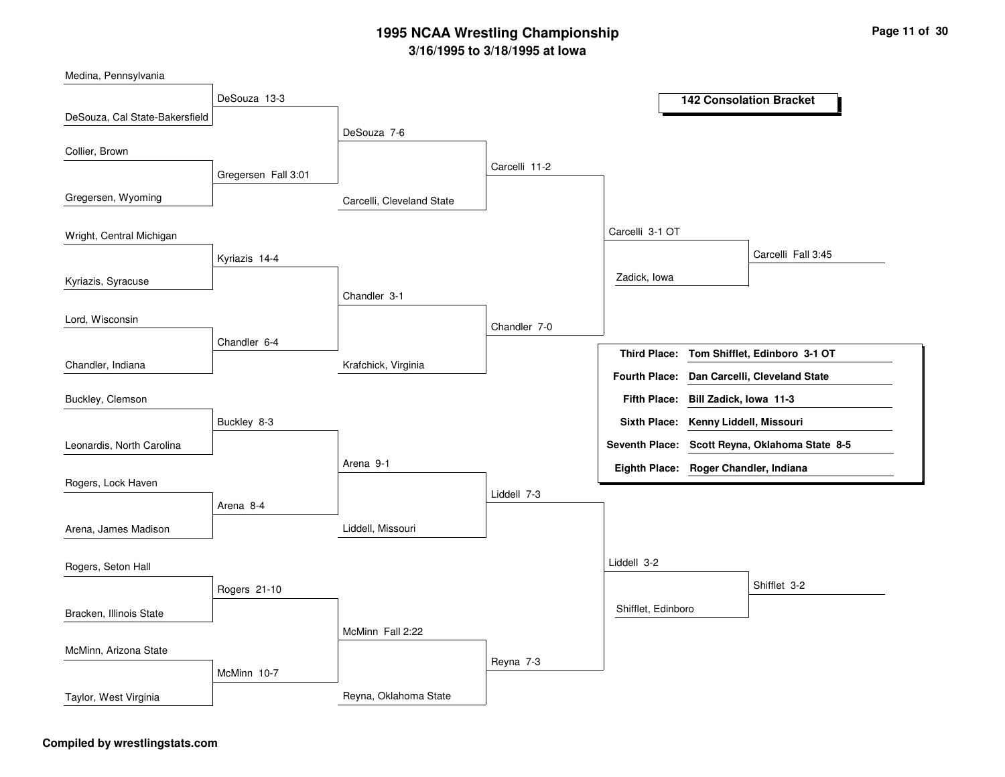Carcelli, Cleveland StateKrafchick, VirginiaLiddell, MissouriReyna, Oklahoma StateDeSouza 7-6Chandler 3-1Arena 9-1McMinn Fall 2:22Carcelli 11-2Chandler 7-0Liddell 7-3Reyna 7-3Carcelli 3-1 OTLiddell 3-2Zadick, IowaShifflet, EdinboroCarcelli Fall 3:45Shifflet 3-2DeSouza 13-3Gregersen Fall 3:01Kyriazis 14-4Chandler 6-4Buckley 8-3Arena 8-4Rogers 21-10McMinn 10-7DeSouza, Cal State-BakersfieldGregersen, WyomingKyriazis, SyracuseChandler, IndianaMedina, PennsylvaniaCollier, BrownWright, Central MichiganLord, WisconsinLeonardis, North CarolinaBuckley, ClemsonRogers, Lock HavenArena, James MadisonBracken, Illinois StateRogers, Seton HallMcMinn, Arizona StateTaylor, West Virginia**142 Consolation BracketTom Shifflet, Edinboro 3-1 OTBill Zadick, Iowa 11-3Fifth Place:Third Place:Seventh Place: Scott Reyna, Oklahoma State 8-5Eighth Place: Roger Chandler, IndianaFourth Place: Dan Carcelli, Cleveland StateSixth Place: Kenny Liddell, Missouri**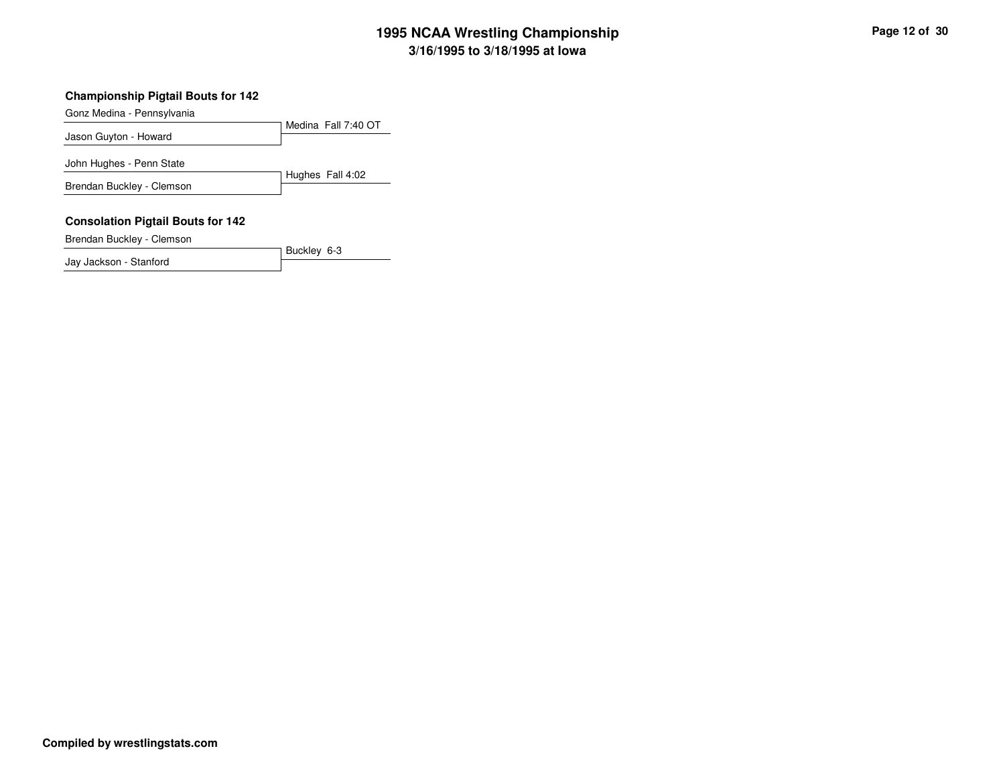#### **Championship Pigtail Bouts for 142**

Gonz Medina - Pennsylvania

Medina Fall 7:40 OTJason Guyton - HowardHughes Fall 4:02John Hughes - Penn State

Buckley 6-3

Brendan Buckley - Clemson

#### **Consolation Pigtail Bouts for 142**

Brendan Buckley - Clemson

Jay Jackson - Stanford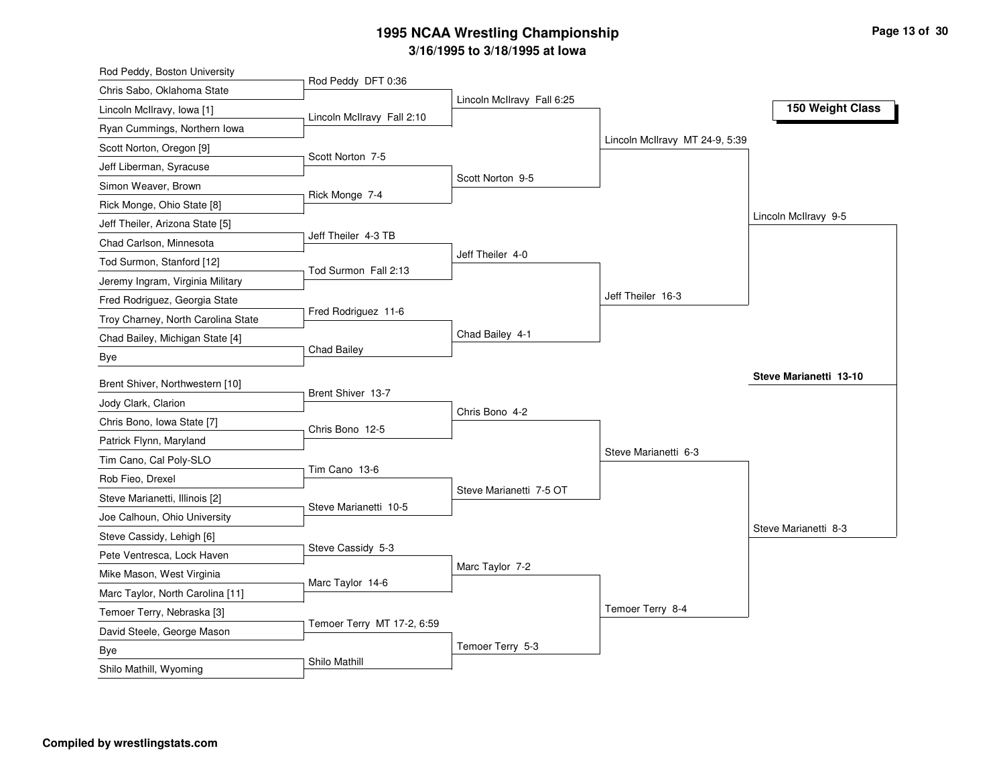| Rod Peddy, Boston University                              |                            |                            |                                |                        |
|-----------------------------------------------------------|----------------------------|----------------------------|--------------------------------|------------------------|
| Chris Sabo, Oklahoma State                                | Rod Peddy DFT 0:36         |                            |                                |                        |
| Lincoln McIlravy, Iowa [1]                                | Lincoln McIlravy Fall 2:10 | Lincoln McIlravy Fall 6:25 |                                | 150 Weight Class       |
| Ryan Cummings, Northern Iowa                              |                            |                            |                                |                        |
| Scott Norton, Oregon [9]                                  |                            |                            | Lincoln McIlravy MT 24-9, 5:39 |                        |
| Jeff Liberman, Syracuse                                   | Scott Norton 7-5           |                            |                                |                        |
| Simon Weaver, Brown                                       |                            | Scott Norton 9-5           |                                |                        |
| Rick Monge, Ohio State [8]                                | Rick Monge 7-4             |                            |                                |                        |
| Jeff Theiler, Arizona State [5]                           |                            |                            |                                | Lincoln McIlravy 9-5   |
| Chad Carlson, Minnesota                                   | Jeff Theiler 4-3 TB        |                            |                                |                        |
| Tod Surmon, Stanford [12]                                 |                            | Jeff Theiler 4-0           |                                |                        |
| Jeremy Ingram, Virginia Military                          | Tod Surmon Fall 2:13       |                            |                                |                        |
| Fred Rodriguez, Georgia State                             |                            |                            | Jeff Theiler 16-3              |                        |
| Troy Charney, North Carolina State                        | Fred Rodriguez 11-6        |                            |                                |                        |
| Chad Bailey, Michigan State [4]                           |                            | Chad Bailey 4-1            |                                |                        |
| Bye                                                       | <b>Chad Bailey</b>         |                            |                                |                        |
| Brent Shiver, Northwestern [10]                           |                            |                            |                                | Steve Marianetti 13-10 |
| Jody Clark, Clarion                                       | Brent Shiver 13-7          |                            |                                |                        |
|                                                           |                            | Chris Bono 4-2             |                                |                        |
| Chris Bono, Iowa State [7]<br>Patrick Flynn, Maryland     | Chris Bono 12-5            |                            |                                |                        |
| Tim Cano, Cal Poly-SLO                                    |                            |                            | Steve Marianetti 6-3           |                        |
| Rob Fieo, Drexel                                          | Tim Cano 13-6              |                            |                                |                        |
| Steve Marianetti, Illinois [2]                            |                            | Steve Marianetti 7-5 OT    |                                |                        |
|                                                           | Steve Marianetti 10-5      |                            |                                |                        |
| Joe Calhoun, Ohio University<br>Steve Cassidy, Lehigh [6] |                            |                            |                                | Steve Marianetti 8-3   |
|                                                           | Steve Cassidy 5-3          |                            |                                |                        |
| Pete Ventresca, Lock Haven                                |                            | Marc Taylor 7-2            |                                |                        |
| Mike Mason, West Virginia                                 | Marc Taylor 14-6           |                            |                                |                        |
| Marc Taylor, North Carolina [11]                          |                            |                            | Temoer Terry 8-4               |                        |
| Temoer Terry, Nebraska [3]                                | Temoer Terry MT 17-2, 6:59 |                            |                                |                        |
| David Steele, George Mason                                |                            | Temoer Terry 5-3           |                                |                        |
| Bye                                                       | Shilo Mathill              |                            |                                |                        |
| Shilo Mathill, Wyoming                                    |                            |                            |                                |                        |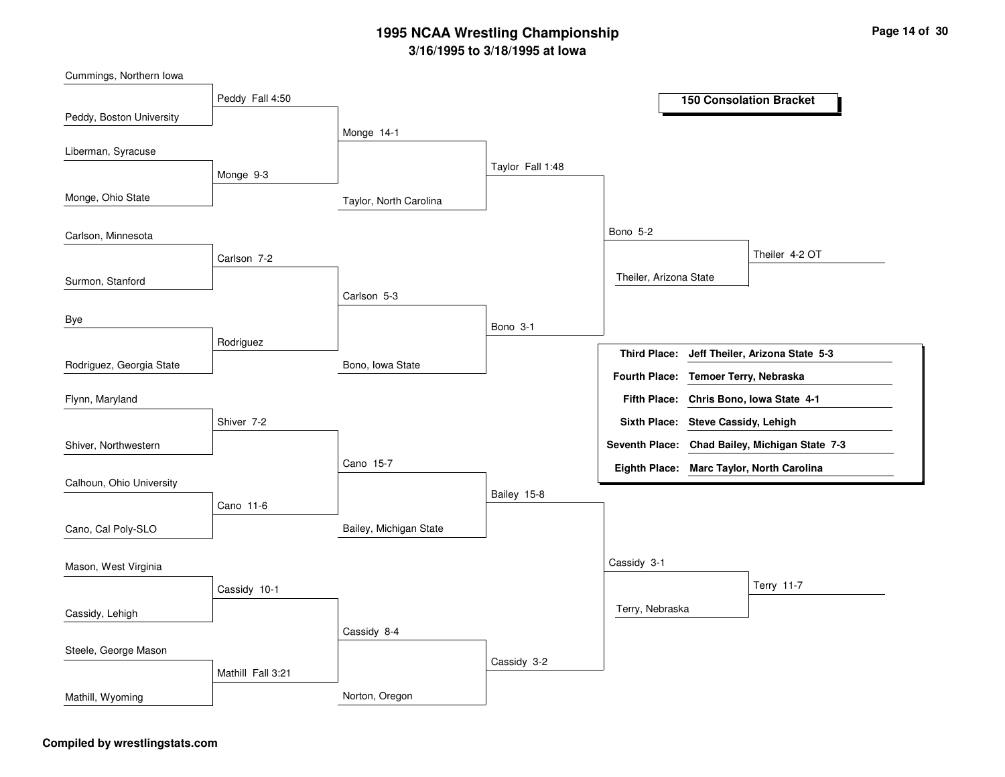Taylor, North CarolinaBono, Iowa StateBailey, Michigan StateNorton, OregonMonge 14-1Carlson 5-3Cano 15-7Cassidy 8-4Taylor Fall 1:48Bono 3-1Bailey 15-8Cassidy 3-2Bono 5-2Cassidy 3-1Theiler, Arizona StateTerry, NebraskaTheiler 4-2 OTTerry 11-7Peddy Fall 4:50Monge 9-3Carlson 7-2RodriguezShiver 7-2Cano 11-6Cassidy 10-1Mathill Fall 3:21Peddy, Boston UniversityMonge, Ohio StateSurmon, StanfordRodriguez, Georgia StateLiberman, SyracuseCarlson, MinnesotaByeShiver, NorthwesternFlynn, MarylandCalhoun, Ohio UniversityCano, Cal Poly-SLOCassidy, LehighMason, West VirginiaSteele, George MasonMathill, Wyoming**150 Consolation BracketJeff Theiler, Arizona State 5-3Chris Bono, Iowa State 4-1Fifth Place:Third Place:Seventh Place: Chad Bailey, Michigan State 7-3Eighth Place: Marc Taylor, North CarolinaFourth Place: Temoer Terry, NebraskaSixth Place: Steve Cassidy, Lehigh**

Cummings, Northern Iowa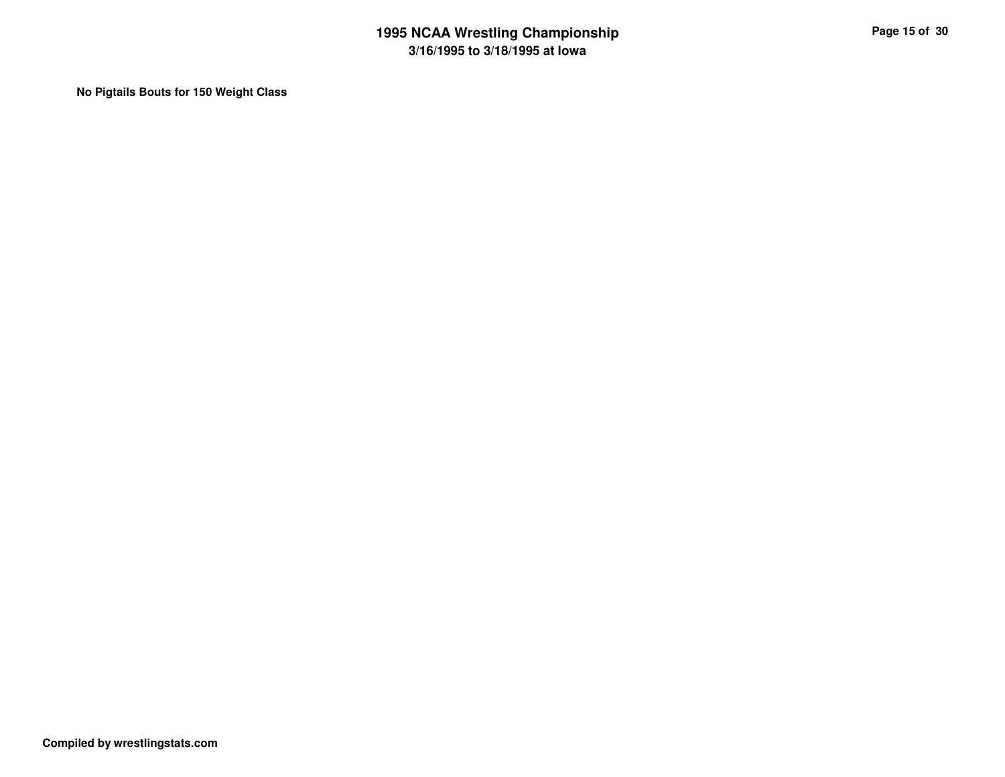**No Pigtails Bouts for 150 Weight Class**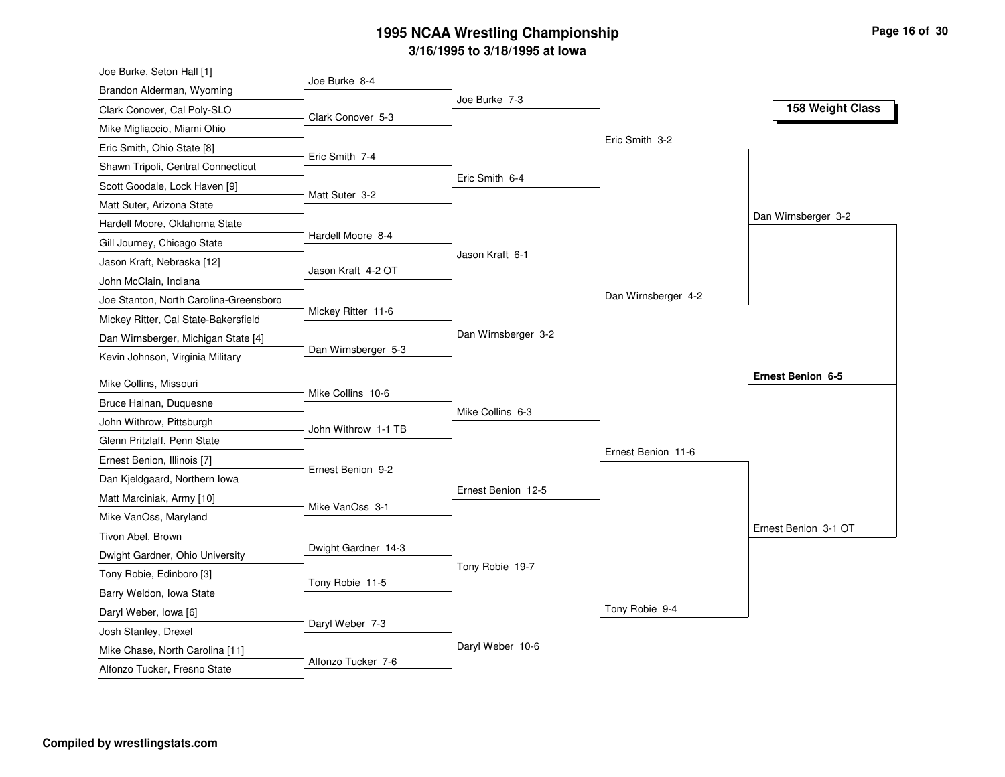| Joe Burke, Seton Hall [1]                                       |                     |                     |                     |                      |
|-----------------------------------------------------------------|---------------------|---------------------|---------------------|----------------------|
| Brandon Alderman, Wyoming                                       | Joe Burke 8-4       |                     |                     |                      |
| Clark Conover, Cal Poly-SLO                                     | Clark Conover 5-3   | Joe Burke 7-3       |                     | 158 Weight Class     |
| Mike Migliaccio, Miami Ohio                                     |                     |                     |                     |                      |
| Eric Smith, Ohio State [8]                                      |                     |                     | Eric Smith 3-2      |                      |
| Shawn Tripoli, Central Connecticut                              | Eric Smith 7-4      |                     |                     |                      |
| Scott Goodale, Lock Haven [9]                                   |                     | Eric Smith 6-4      |                     |                      |
| Matt Suter, Arizona State                                       | Matt Suter 3-2      |                     |                     |                      |
| Hardell Moore, Oklahoma State                                   |                     |                     |                     | Dan Wirnsberger 3-2  |
| Gill Journey, Chicago State                                     | Hardell Moore 8-4   |                     |                     |                      |
| Jason Kraft, Nebraska [12]                                      |                     | Jason Kraft 6-1     |                     |                      |
| John McClain, Indiana                                           | Jason Kraft 4-2 OT  |                     |                     |                      |
| Joe Stanton, North Carolina-Greensboro                          |                     |                     | Dan Wirnsberger 4-2 |                      |
| Mickey Ritter, Cal State-Bakersfield                            | Mickey Ritter 11-6  |                     |                     |                      |
| Dan Wirnsberger, Michigan State [4]                             |                     | Dan Wirnsberger 3-2 |                     |                      |
| Kevin Johnson, Virginia Military                                | Dan Wirnsberger 5-3 |                     |                     |                      |
|                                                                 |                     |                     |                     | Ernest Benion 6-5    |
| Mike Collins, Missouri                                          | Mike Collins 10-6   |                     |                     |                      |
|                                                                 |                     |                     |                     |                      |
| Bruce Hainan, Duquesne                                          |                     | Mike Collins 6-3    |                     |                      |
| John Withrow, Pittsburgh                                        | John Withrow 1-1 TB |                     |                     |                      |
| Glenn Pritzlaff, Penn State                                     |                     |                     | Ernest Benion 11-6  |                      |
| Ernest Benion, Illinois [7]                                     | Ernest Benion 9-2   |                     |                     |                      |
| Dan Kjeldgaard, Northern Iowa                                   |                     | Ernest Benion 12-5  |                     |                      |
| Matt Marciniak, Army [10]                                       | Mike VanOss 3-1     |                     |                     |                      |
| Mike VanOss, Maryland                                           |                     |                     |                     | Ernest Benion 3-1 OT |
| Tivon Abel, Brown                                               |                     |                     |                     |                      |
| Dwight Gardner, Ohio University                                 | Dwight Gardner 14-3 |                     |                     |                      |
| Tony Robie, Edinboro [3]                                        | Tony Robie 11-5     | Tony Robie 19-7     |                     |                      |
| Barry Weldon, Iowa State                                        |                     |                     |                     |                      |
| Daryl Weber, Iowa [6]                                           |                     |                     | Tony Robie 9-4      |                      |
| Josh Stanley, Drexel                                            | Daryl Weber 7-3     |                     |                     |                      |
| Mike Chase, North Carolina [11]<br>Alfonzo Tucker, Fresno State | Alfonzo Tucker 7-6  | Daryl Weber 10-6    |                     |                      |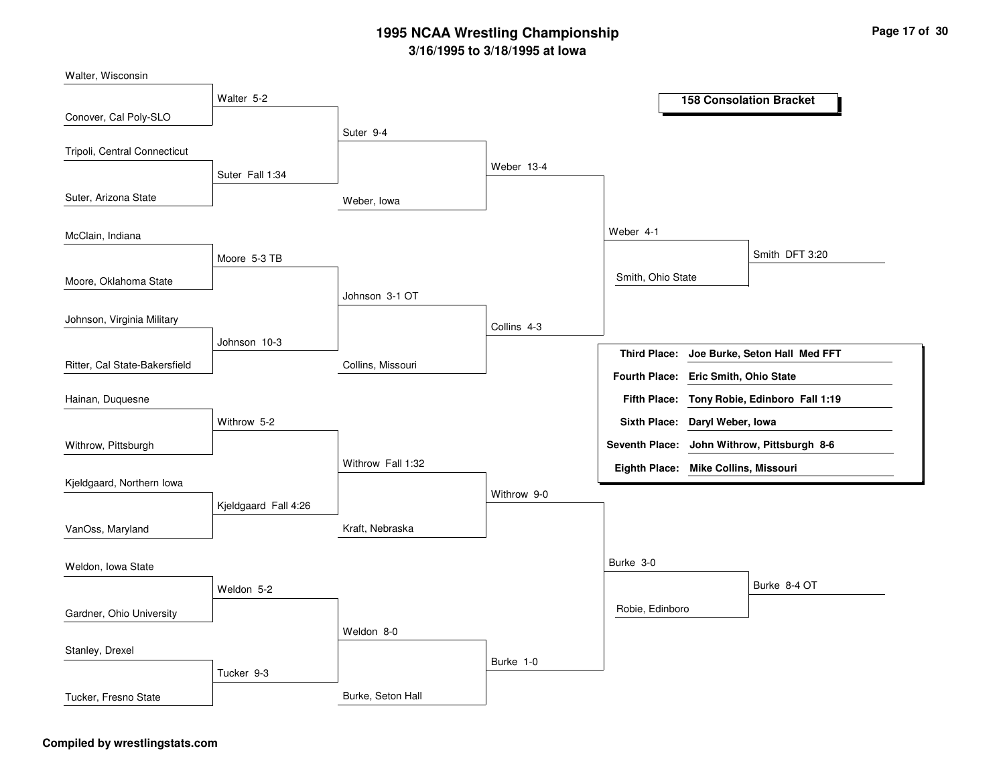Weber, IowaCollins, MissouriKraft, NebraskaBurke, Seton HallSuter 9-4Johnson 3-1 OTWithrow Fall 1:32Weldon 8-0Weber 13-4Collins 4-3Withrow 9-0Burke 1-0Weber 4-1Burke 3-0Smith, Ohio StateRobie, EdinboroSmith DFT 3:20Burke 8-4 OTWalter 5-2Suter Fall 1:34Moore 5-3 TBJohnson 10-3Withrow 5-2Kjeldgaard Fall 4:26Weldon 5-2Tucker 9-3Conover, Cal Poly-SLOSuter, Arizona StateMoore, Oklahoma StateRitter, Cal State-BakersfieldWalter, WisconsinTripoli, Central ConnecticutMcClain, IndianaJohnson, Virginia MilitaryWithrow, PittsburghHainan, DuquesneKjeldgaard, Northern IowaVanOss, MarylandGardner, Ohio UniversityWeldon, Iowa StateStanley, DrexelTucker, Fresno State**158 Consolation BracketJoe Burke, Seton Hall Med FFTTony Robie, Edinboro Fall 1:19Fifth Place:Third Place:Seventh Place: John Withrow, Pittsburgh 8-6Eighth Place: Mike Collins, Missouri Fourth Place: Eric Smith, Ohio StateSixth Place: Daryl Weber, Iowa**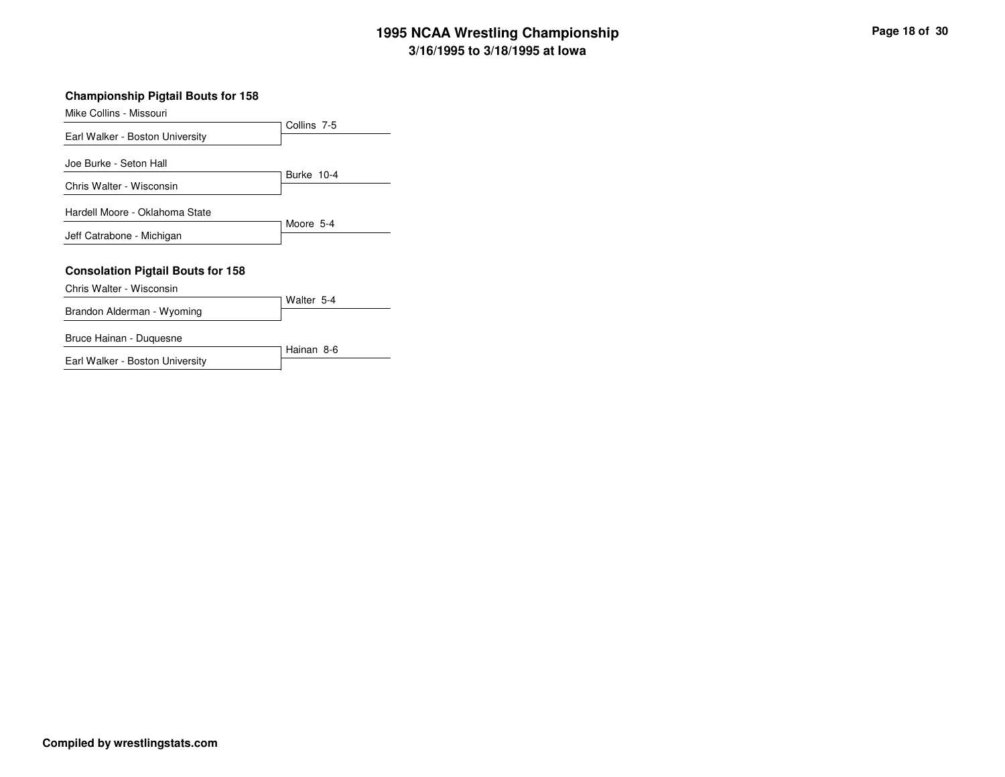#### **Championship Pigtail Bouts for 158**

| Mike Collins - Missouri                                     |             |
|-------------------------------------------------------------|-------------|
| Earl Walker - Boston University                             | Collins 7-5 |
| Joe Burke - Seton Hall<br>Chris Walter - Wisconsin          | Burke 10-4  |
| Hardell Moore - Oklahoma State<br>Jeff Catrabone - Michigan | Moore 5-4   |
| <b>Consolation Pigtail Bouts for 158</b>                    |             |
| Chris Walter - Wisconsin                                    | Walter 5-4  |
| Brandon Alderman - Wyoming                                  |             |
| Bruce Hainan - Duquesne                                     | Hainan 8-6  |

Earl Walker - Boston University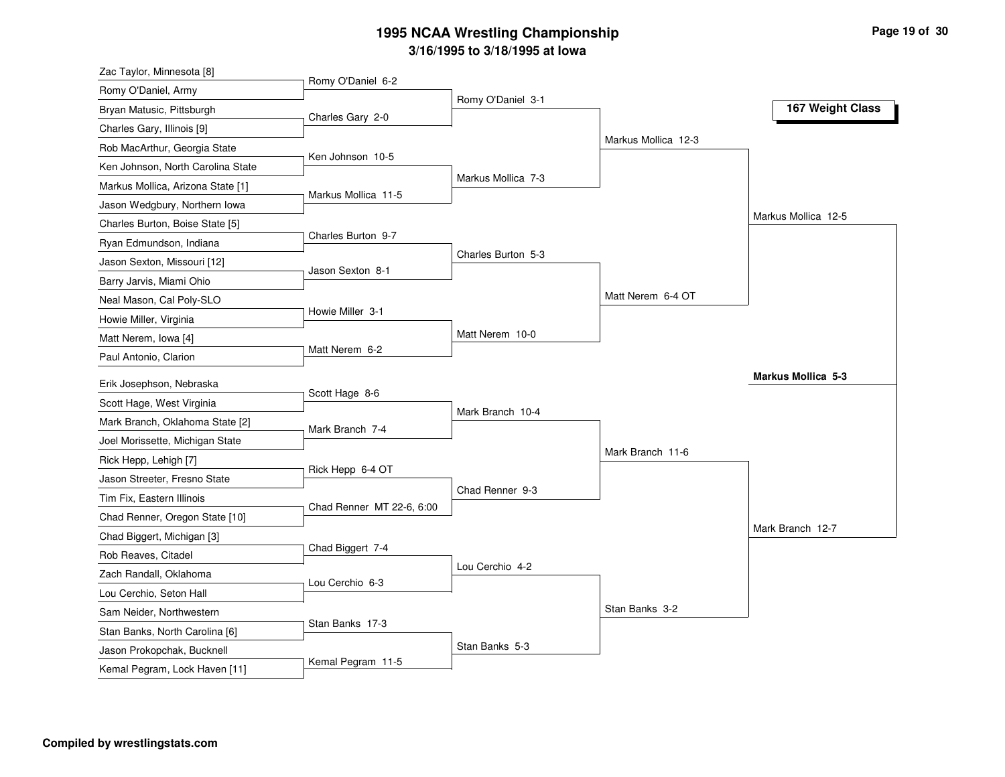| Zac Taylor, Minnesota [8]                                    |                           |                    |                     |                           |
|--------------------------------------------------------------|---------------------------|--------------------|---------------------|---------------------------|
| Romy O'Daniel, Army                                          | Romy O'Daniel 6-2         |                    |                     |                           |
| Bryan Matusic, Pittsburgh                                    | Charles Gary 2-0          | Romy O'Daniel 3-1  |                     | 167 Weight Class          |
| Charles Gary, Illinois [9]                                   |                           |                    |                     |                           |
| Rob MacArthur, Georgia State                                 |                           |                    | Markus Mollica 12-3 |                           |
| Ken Johnson, North Carolina State                            | Ken Johnson 10-5          |                    |                     |                           |
| Markus Mollica, Arizona State [1]                            |                           | Markus Mollica 7-3 |                     |                           |
| Jason Wedgbury, Northern Iowa                                | Markus Mollica 11-5       |                    |                     |                           |
| Charles Burton, Boise State [5]                              |                           |                    |                     | Markus Mollica 12-5       |
| Ryan Edmundson, Indiana                                      | Charles Burton 9-7        |                    |                     |                           |
| Jason Sexton, Missouri [12]                                  |                           | Charles Burton 5-3 |                     |                           |
| Barry Jarvis, Miami Ohio                                     | Jason Sexton 8-1          |                    |                     |                           |
| Neal Mason, Cal Poly-SLO                                     |                           |                    | Matt Nerem 6-4 OT   |                           |
| Howie Miller, Virginia                                       | Howie Miller 3-1          |                    |                     |                           |
| Matt Nerem, Iowa [4]                                         |                           | Matt Nerem 10-0    |                     |                           |
| Paul Antonio, Clarion                                        | Matt Nerem 6-2            |                    |                     |                           |
| Erik Josephson, Nebraska                                     |                           |                    |                     | <b>Markus Mollica 5-3</b> |
| Scott Hage, West Virginia                                    | Scott Hage 8-6            |                    |                     |                           |
| Mark Branch, Oklahoma State [2]                              |                           | Mark Branch 10-4   |                     |                           |
|                                                              | Mark Branch 7-4           |                    |                     |                           |
|                                                              |                           |                    |                     |                           |
| Joel Morissette, Michigan State                              |                           |                    | Mark Branch 11-6    |                           |
| Rick Hepp, Lehigh [7]                                        | Rick Hepp 6-4 OT          |                    |                     |                           |
| Jason Streeter, Fresno State                                 |                           | Chad Renner 9-3    |                     |                           |
| Tim Fix, Eastern Illinois                                    | Chad Renner MT 22-6, 6:00 |                    |                     |                           |
| Chad Renner, Oregon State [10]                               |                           |                    |                     | Mark Branch 12-7          |
| Chad Biggert, Michigan [3]                                   | Chad Biggert 7-4          |                    |                     |                           |
| Rob Reaves, Citadel                                          |                           | Lou Cerchio 4-2    |                     |                           |
| Zach Randall, Oklahoma                                       | Lou Cerchio 6-3           |                    |                     |                           |
| Lou Cerchio, Seton Hall                                      |                           |                    | Stan Banks 3-2      |                           |
| Sam Neider, Northwestern                                     | Stan Banks 17-3           |                    |                     |                           |
| Stan Banks, North Carolina [6]<br>Jason Prokopchak, Bucknell |                           | Stan Banks 5-3     |                     |                           |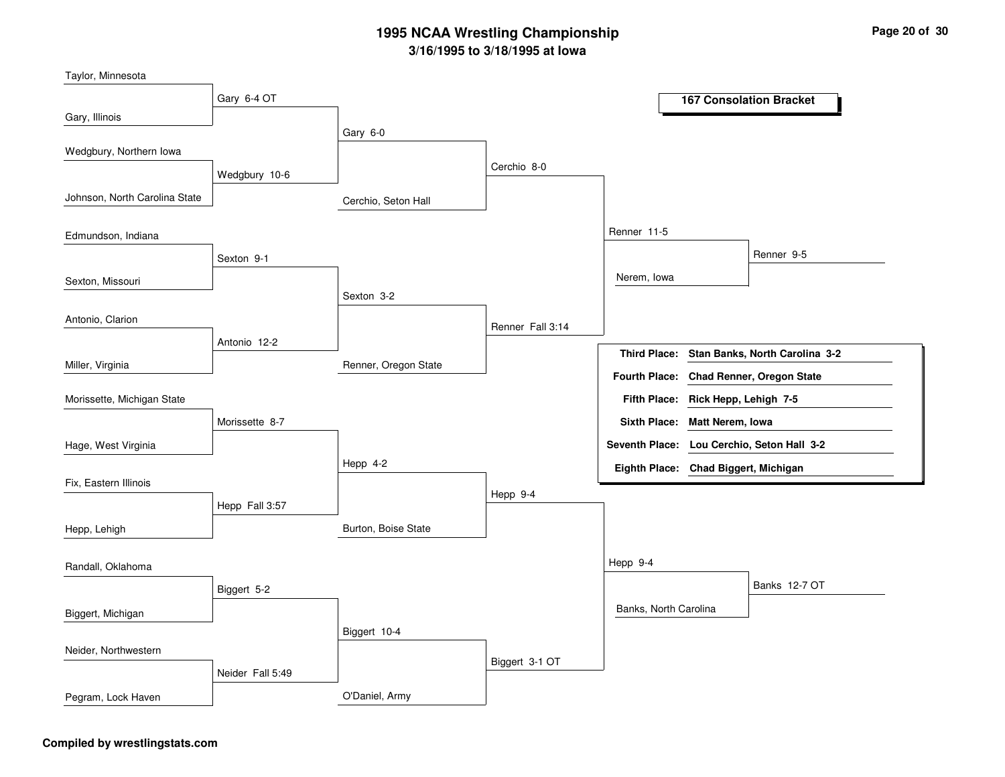Cerchio, Seton HallRenner, Oregon StateBurton, Boise StateO'Daniel, ArmyGary 6-0Sexton 3-2Hepp 4-2Biggert 10-4Cerchio 8-0Renner Fall 3:14Hepp 9-4Biggert 3-1 OTRenner 11-5Hepp 9-4Nerem, IowaBanks, North CarolinaRenner 9-5Banks 12-7 OTGary 6-4 OTWedgbury 10-6Sexton 9-1Antonio 12-2Morissette 8-7Hepp Fall 3:57Biggert 5-2Neider Fall 5:49Gary, IllinoisJohnson, North Carolina StateSexton, MissouriMiller, VirginiaTaylor, MinnesotaWedgbury, Northern IowaEdmundson, IndianaAntonio, ClarionHage, West VirginiaMorissette, Michigan StateFix, Eastern IllinoisHepp, LehighBiggert, MichiganRandall, OklahomaNeider, NorthwesternPegram, Lock Haven**167 Consolation BracketStan Banks, North Carolina 3-2Rick Hepp, Lehigh 7-5Fifth Place:Third Place:Seventh Place: Lou Cerchio, Seton Hall 3-2Eighth Place: Chad Biggert, MichiganFourth Place: Chad Renner, Oregon StateSixth Place: Matt Nerem, Iowa**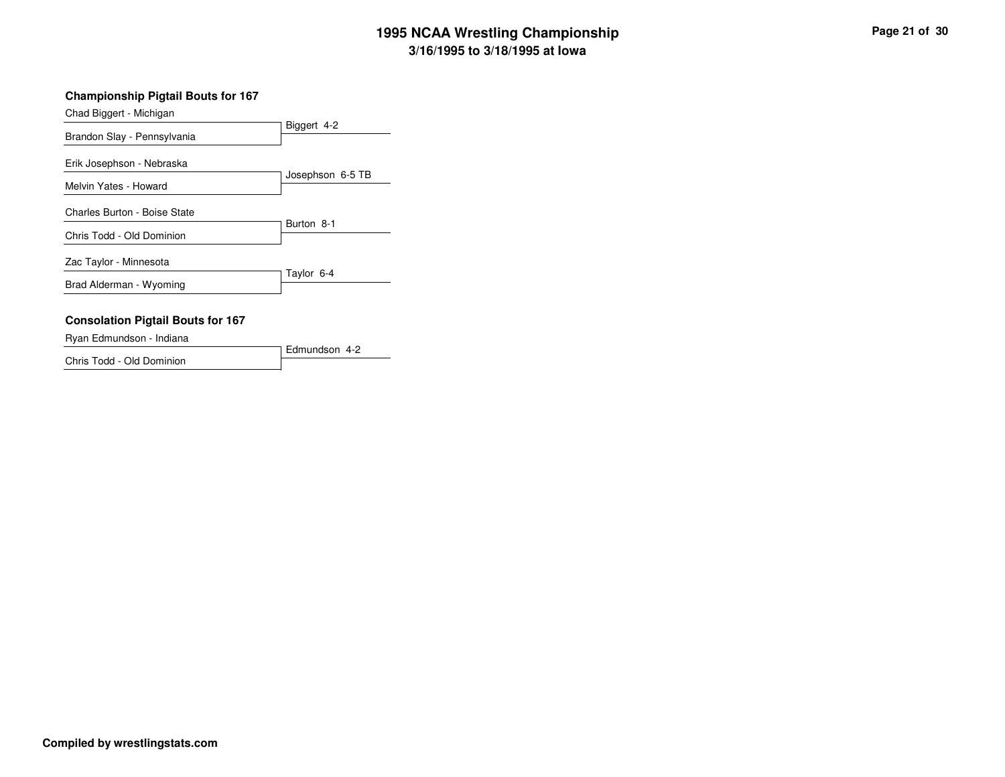#### **Championship Pigtail Bouts for 167**

| Chad Biggert - Michigan                  |                  |
|------------------------------------------|------------------|
|                                          | Biggert 4-2      |
| Brandon Slay - Pennsylvania              |                  |
| Erik Josephson - Nebraska                | Josephson 6-5 TB |
| Melvin Yates - Howard                    |                  |
| Charles Burton - Boise State             | Burton 8-1       |
| Chris Todd - Old Dominion                |                  |
| Zac Taylor - Minnesota                   | Taylor 6-4       |
| Brad Alderman - Wyoming                  |                  |
|                                          |                  |
| <b>Consolation Pigtail Bouts for 167</b> |                  |
| - - - - - -                              |                  |

Edmundson 4-2Ryan Edmundson - IndianaChris Todd - Old Dominion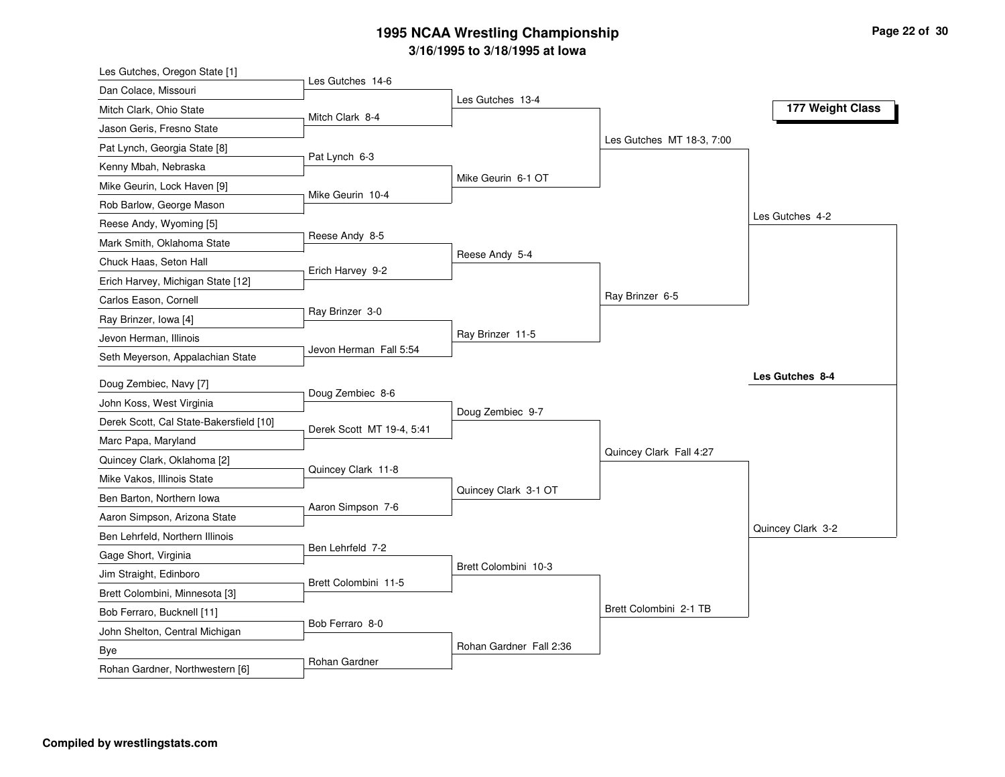| Les Gutches, Oregon State [1]           |                           |                         |                           |                   |
|-----------------------------------------|---------------------------|-------------------------|---------------------------|-------------------|
| Dan Colace, Missouri                    | Les Gutches 14-6          | Les Gutches 13-4        |                           |                   |
| Mitch Clark, Ohio State                 | Mitch Clark 8-4           |                         |                           | 177 Weight Class  |
| Jason Geris, Fresno State               |                           |                         |                           |                   |
| Pat Lynch, Georgia State [8]            |                           |                         | Les Gutches MT 18-3, 7:00 |                   |
| Kenny Mbah, Nebraska                    | Pat Lynch 6-3             |                         |                           |                   |
| Mike Geurin, Lock Haven [9]             |                           | Mike Geurin 6-1 OT      |                           |                   |
| Rob Barlow, George Mason                | Mike Geurin 10-4          |                         |                           |                   |
| Reese Andy, Wyoming [5]                 |                           |                         |                           | Les Gutches 4-2   |
| Mark Smith, Oklahoma State              | Reese Andy 8-5            |                         |                           |                   |
| Chuck Haas, Seton Hall                  |                           | Reese Andy 5-4          |                           |                   |
| Erich Harvey, Michigan State [12]       | Erich Harvey 9-2          |                         |                           |                   |
| Carlos Eason, Cornell                   |                           |                         | Ray Brinzer 6-5           |                   |
| Ray Brinzer, Iowa [4]                   | Ray Brinzer 3-0           |                         |                           |                   |
| Jevon Herman, Illinois                  |                           | Ray Brinzer 11-5        |                           |                   |
| Seth Meyerson, Appalachian State        | Jevon Herman Fall 5:54    |                         |                           |                   |
| Doug Zembiec, Navy [7]                  |                           |                         |                           | Les Gutches 8-4   |
| John Koss, West Virginia                | Doug Zembiec 8-6          |                         |                           |                   |
| Derek Scott, Cal State-Bakersfield [10] |                           | Doug Zembiec 9-7        |                           |                   |
| Marc Papa, Maryland                     | Derek Scott MT 19-4, 5:41 |                         |                           |                   |
| Quincey Clark, Oklahoma [2]             |                           |                         | Quincey Clark Fall 4:27   |                   |
| Mike Vakos, Illinois State              | Quincey Clark 11-8        |                         |                           |                   |
| Ben Barton, Northern Iowa               |                           | Quincey Clark 3-1 OT    |                           |                   |
| Aaron Simpson, Arizona State            | Aaron Simpson 7-6         |                         |                           |                   |
| Ben Lehrfeld, Northern Illinois         |                           |                         |                           | Quincey Clark 3-2 |
| Gage Short, Virginia                    | Ben Lehrfeld 7-2          |                         |                           |                   |
| Jim Straight, Edinboro                  |                           | Brett Colombini 10-3    |                           |                   |
| Brett Colombini, Minnesota [3]          | Brett Colombini 11-5      |                         |                           |                   |
| Bob Ferraro, Bucknell [11]              |                           |                         | Brett Colombini 2-1 TB    |                   |
| John Shelton, Central Michigan          | Bob Ferraro 8-0           |                         |                           |                   |
| Bye                                     |                           | Rohan Gardner Fall 2:36 |                           |                   |
| Rohan Gardner, Northwestern [6]         | Rohan Gardner             |                         |                           |                   |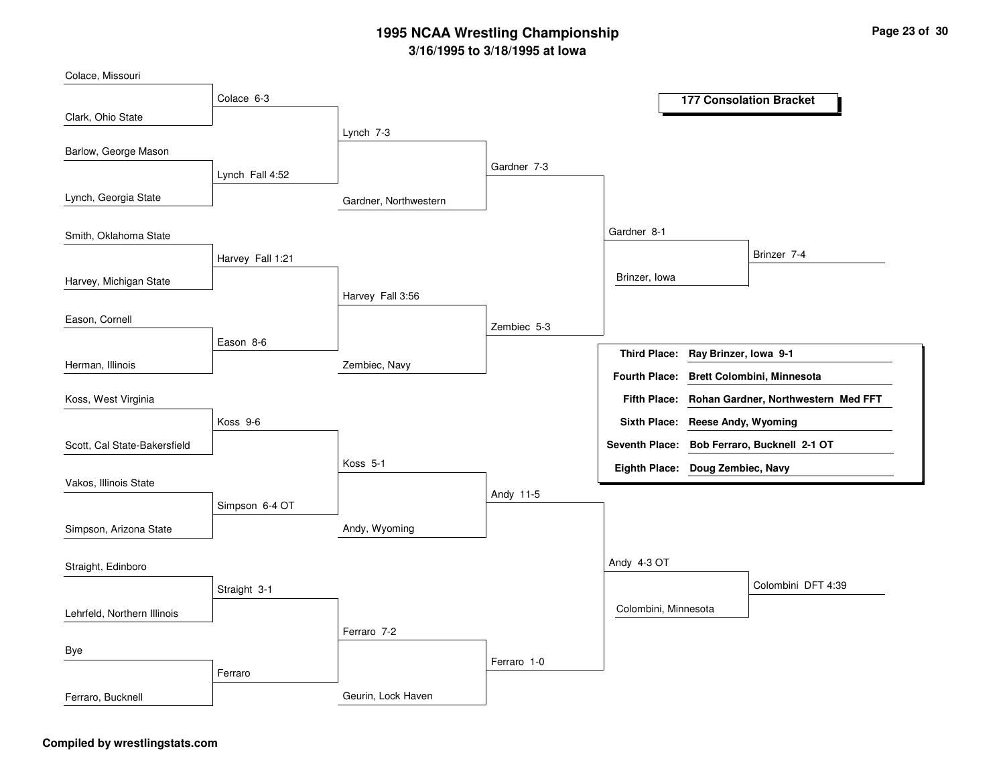Gardner, NorthwesternZembiec, NavyAndy, WyomingGeurin, Lock HavenLynch 7-3Harvey Fall 3:56Koss 5-1Ferraro 7-2Gardner 7-3Zembiec 5-3Andy 11-5Ferraro 1-0Gardner 8-1Andy 4-3 OTBrinzer, IowaColombini, MinnesotaBrinzer 7-4Colombini DFT 4:39Colace 6-3Lynch Fall 4:52Harvey Fall 1:21Eason 8-6Koss 9-6Simpson 6-4 OTStraight 3-1FerraroClark, Ohio StateLynch, Georgia StateHarvey, Michigan StateHerman, IllinoisColace, MissouriBarlow, George MasonSmith, Oklahoma StateEason, CornellScott, Cal State-BakersfieldKoss, West VirginiaVakos, Illinois StateSimpson, Arizona StateLehrfeld, Northern IllinoisStraight, EdinboroByeFerraro, Bucknell**177 Consolation BracketRay Brinzer, Iowa 9-1Fifth Place: Rohan Gardner, Northwestern Med FFT Third Place:Seventh Place: Bob Ferraro, Bucknell 2-1 OTEighth Place: Doug Zembiec, NavyFourth Place: Brett Colombini, MinnesotaSixth Place: Reese Andy, Wyoming**

#### **Compiled by wrestlingstats.com**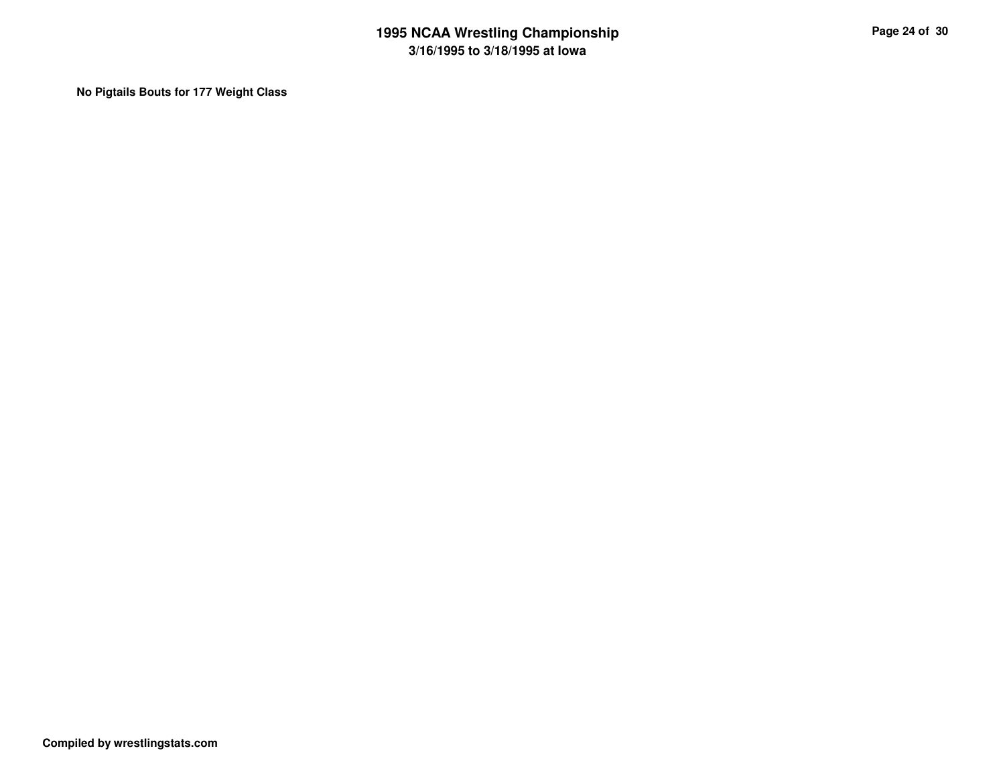**No Pigtails Bouts for 177 Weight Class**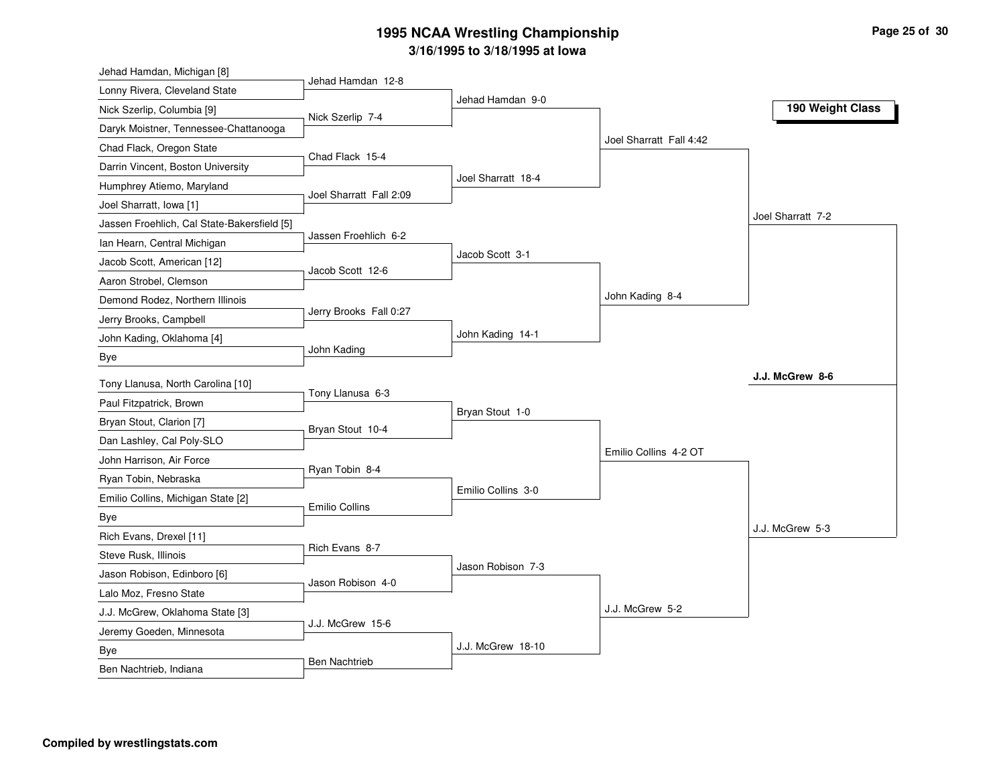| Jehad Hamdan, Michigan [8]                  |                         |                    |                         |                   |
|---------------------------------------------|-------------------------|--------------------|-------------------------|-------------------|
| Lonny Rivera, Cleveland State               | Jehad Hamdan 12-8       | Jehad Hamdan 9-0   |                         |                   |
| Nick Szerlip, Columbia [9]                  | Nick Szerlip 7-4        |                    |                         | 190 Weight Class  |
| Daryk Moistner, Tennessee-Chattanooga       |                         |                    |                         |                   |
| Chad Flack, Oregon State                    | Chad Flack 15-4         |                    | Joel Sharratt Fall 4:42 |                   |
| Darrin Vincent, Boston University           |                         |                    |                         |                   |
| Humphrey Atiemo, Maryland                   | Joel Sharratt Fall 2:09 | Joel Sharratt 18-4 |                         |                   |
| Joel Sharratt, Iowa [1]                     |                         |                    |                         |                   |
| Jassen Froehlich, Cal State-Bakersfield [5] |                         |                    |                         | Joel Sharratt 7-2 |
| Ian Hearn, Central Michigan                 | Jassen Froehlich 6-2    |                    |                         |                   |
| Jacob Scott, American [12]                  | Jacob Scott 12-6        | Jacob Scott 3-1    |                         |                   |
| Aaron Strobel, Clemson                      |                         |                    |                         |                   |
| Demond Rodez, Northern Illinois             |                         |                    | John Kading 8-4         |                   |
| Jerry Brooks, Campbell                      | Jerry Brooks Fall 0:27  |                    |                         |                   |
| John Kading, Oklahoma [4]                   |                         | John Kading 14-1   |                         |                   |
| Bye                                         | John Kading             |                    |                         |                   |
| Tony Llanusa, North Carolina [10]           |                         |                    |                         | J.J. McGrew 8-6   |
| Paul Fitzpatrick, Brown                     | Tony Llanusa 6-3        |                    |                         |                   |
| Bryan Stout, Clarion [7]                    |                         | Bryan Stout 1-0    |                         |                   |
| Dan Lashley, Cal Poly-SLO                   | Bryan Stout 10-4        |                    |                         |                   |
| John Harrison, Air Force                    |                         |                    | Emilio Collins 4-2 OT   |                   |
| Ryan Tobin, Nebraska                        | Ryan Tobin 8-4          |                    |                         |                   |
| Emilio Collins, Michigan State [2]          |                         | Emilio Collins 3-0 |                         |                   |
| Bye                                         | <b>Emilio Collins</b>   |                    |                         |                   |
| Rich Evans, Drexel [11]                     |                         |                    |                         | J.J. McGrew 5-3   |
| Steve Rusk, Illinois                        | Rich Evans 8-7          |                    |                         |                   |
| Jason Robison, Edinboro [6]                 |                         | Jason Robison 7-3  |                         |                   |
| Lalo Moz, Fresno State                      | Jason Robison 4-0       |                    |                         |                   |
| J.J. McGrew, Oklahoma State [3]             |                         |                    | J.J. McGrew 5-2         |                   |
| Jeremy Goeden, Minnesota                    | J.J. McGrew 15-6        |                    |                         |                   |
| Bye                                         |                         | J.J. McGrew 18-10  |                         |                   |
| Ben Nachtrieb, Indiana                      | <b>Ben Nachtrieb</b>    |                    |                         |                   |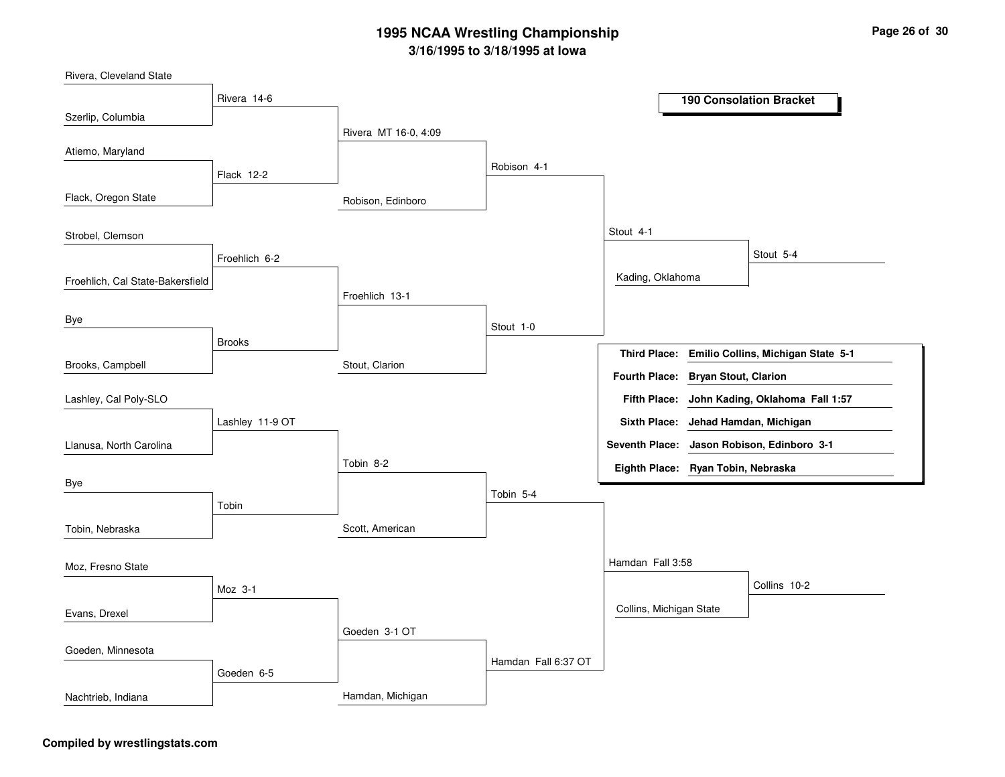Robison, EdinboroStout, ClarionScott, AmericanHamdan, MichiganRivera MT 16-0, 4:09Froehlich 13-1Tobin 8-2Goeden 3-1 OTRobison 4-1Stout 1-0Tobin 5-4Hamdan Fall 6:37 OTStout 4-1Hamdan Fall 3:58Kading, OklahomaCollins, Michigan StateStout 5-4Collins 10-2Rivera 14-6Flack 12-2Froehlich 6-2BrooksLashley 11-9 OTTobinMoz 3-1Goeden 6-5Szerlip, ColumbiaFlack, Oregon StateFroehlich, Cal State-BakersfieldBrooks, CampbellAtiemo, MarylandStrobel, ClemsonByeLlanusa, North CarolinaLashley, Cal Poly-SLOByeTobin, NebraskaEvans, DrexelMoz, Fresno StateGoeden, MinnesotaNachtrieb, Indiana**190 Consolation BracketEmilio Collins, Michigan State 5-1Third Place:John Kading, Oklahoma Fall 1:57Fifth Place:Seventh Place: Jason Robison, Edinboro 3-1Eighth Place: Ryan Tobin, NebraskaFourth Place: Bryan Stout, ClarionSixth Place: Jehad Hamdan, Michigan**

#### **Compiled by wrestlingstats.com**

Rivera, Cleveland State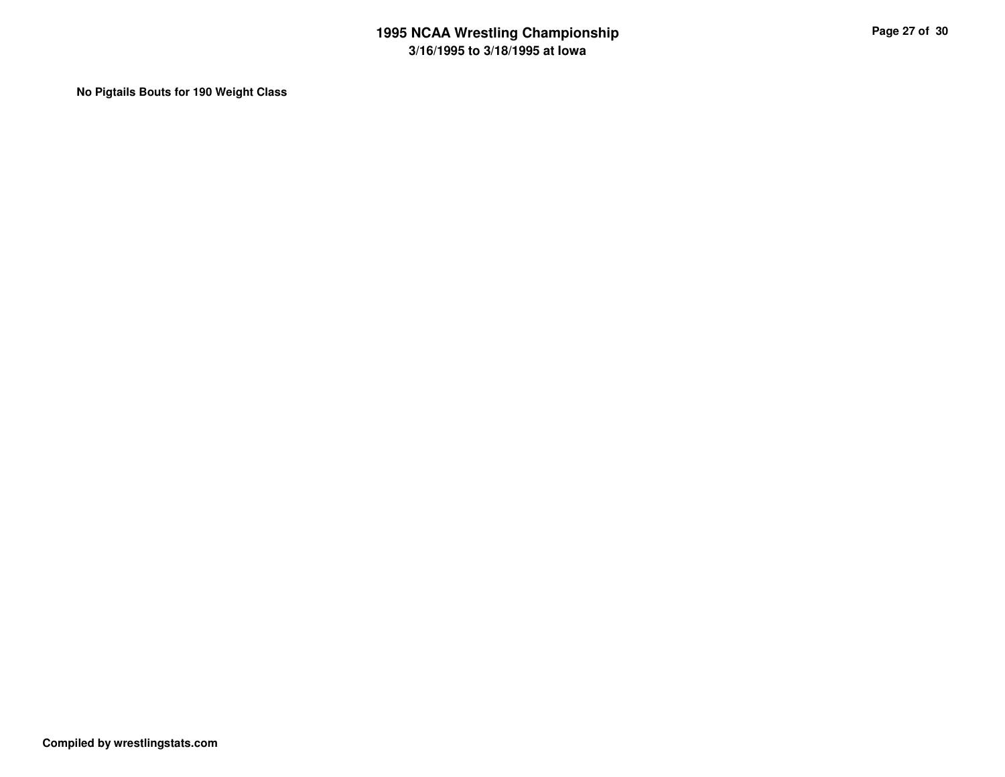**No Pigtails Bouts for 190 Weight Class**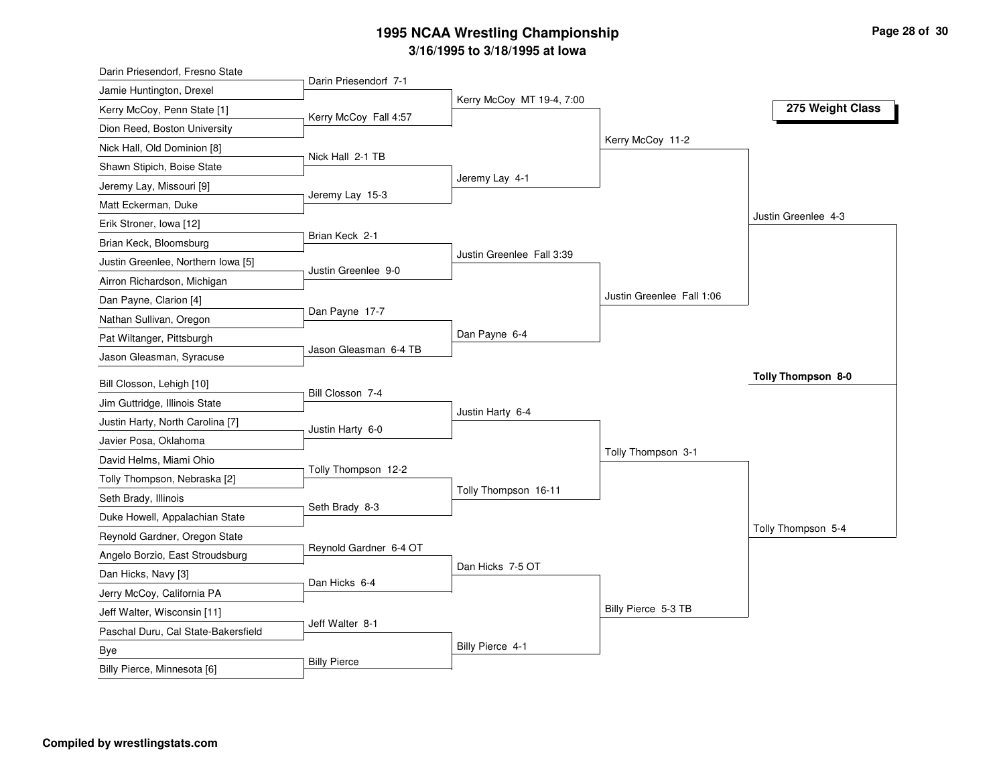| Darin Priesendorf, Fresno State     |                        |                           |                           |                           |
|-------------------------------------|------------------------|---------------------------|---------------------------|---------------------------|
| Jamie Huntington, Drexel            | Darin Priesendorf 7-1  | Kerry McCoy MT 19-4, 7:00 |                           |                           |
| Kerry McCoy, Penn State [1]         | Kerry McCoy Fall 4:57  |                           |                           | 275 Weight Class          |
| Dion Reed, Boston University        |                        |                           |                           |                           |
| Nick Hall, Old Dominion [8]         |                        |                           | Kerry McCoy 11-2          |                           |
| Shawn Stipich, Boise State          | Nick Hall 2-1 TB       |                           |                           |                           |
| Jeremy Lay, Missouri [9]            |                        | Jeremy Lay 4-1            |                           |                           |
| Matt Eckerman, Duke                 | Jeremy Lay 15-3        |                           |                           |                           |
| Erik Stroner, Iowa [12]             |                        |                           |                           | Justin Greenlee 4-3       |
| Brian Keck, Bloomsburg              | Brian Keck 2-1         |                           |                           |                           |
| Justin Greenlee, Northern Iowa [5]  |                        | Justin Greenlee Fall 3:39 |                           |                           |
| Airron Richardson, Michigan         | Justin Greenlee 9-0    |                           |                           |                           |
| Dan Payne, Clarion [4]              |                        |                           | Justin Greenlee Fall 1:06 |                           |
| Nathan Sullivan, Oregon             | Dan Payne 17-7         |                           |                           |                           |
| Pat Wiltanger, Pittsburgh           |                        | Dan Payne 6-4             |                           |                           |
| Jason Gleasman, Syracuse            | Jason Gleasman 6-4 TB  |                           |                           |                           |
| Bill Closson, Lehigh [10]           |                        |                           |                           | <b>Tolly Thompson 8-0</b> |
| Jim Guttridge, Illinois State       | Bill Closson 7-4       |                           |                           |                           |
|                                     |                        | Justin Harty 6-4          |                           |                           |
| Justin Harty, North Carolina [7]    | Justin Harty 6-0       |                           |                           |                           |
| Javier Posa, Oklahoma               |                        |                           | Tolly Thompson 3-1        |                           |
| David Helms, Miami Ohio             | Tolly Thompson 12-2    |                           |                           |                           |
| Tolly Thompson, Nebraska [2]        |                        | Tolly Thompson 16-11      |                           |                           |
| Seth Brady, Illinois                | Seth Brady 8-3         |                           |                           |                           |
| Duke Howell, Appalachian State      |                        |                           |                           | Tolly Thompson 5-4        |
| Reynold Gardner, Oregon State       | Reynold Gardner 6-4 OT |                           |                           |                           |
| Angelo Borzio, East Stroudsburg     |                        | Dan Hicks 7-5 OT          |                           |                           |
| Dan Hicks, Navy [3]                 | Dan Hicks 6-4          |                           |                           |                           |
| Jerry McCoy, California PA          |                        |                           | Billy Pierce 5-3 TB       |                           |
| Jeff Walter, Wisconsin [11]         | Jeff Walter 8-1        |                           |                           |                           |
| Paschal Duru, Cal State-Bakersfield |                        | Billy Pierce 4-1          |                           |                           |
| Bye                                 | <b>Billy Pierce</b>    |                           |                           |                           |
| Billy Pierce, Minnesota [6]         |                        |                           |                           |                           |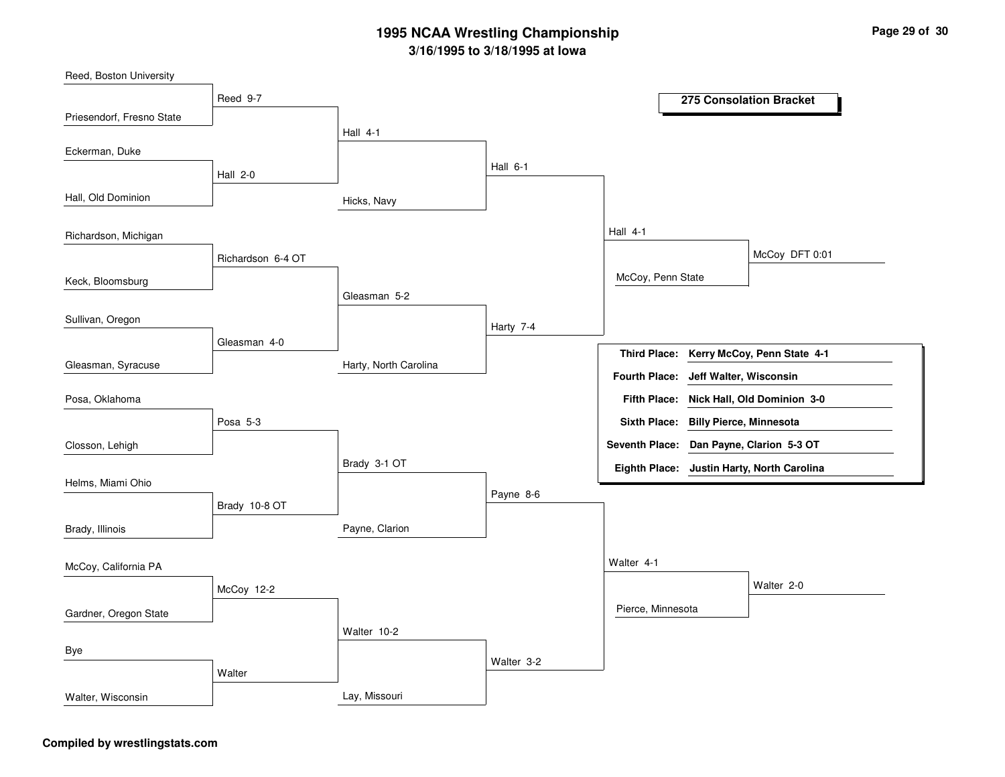Hicks, NavyHarty, North CarolinaPayne, ClarionLay, MissouriHall 4-1Gleasman 5-2Brady 3-1 OTWalter 10-2Hall 6-1Harty 7-4Payne 8-6Walter 3-2Hall 4-1Walter 4-1McCoy, Penn StatePierce, MinnesotaMcCoy DFT 0:01Walter 2-0Reed 9-7Hall 2-0Richardson 6-4 OTGleasman 4-0Posa 5-3Brady 10-8 OTMcCoy 12-2**Walter** Priesendorf, Fresno StateHall, Old DominionKeck, BloomsburgGleasman, SyracuseReed, Boston UniversityEckerman, DukeRichardson, MichiganSullivan, OregonClosson, LehighPosa, OklahomaHelms, Miami OhioBrady, IllinoisGardner, Oregon StateMcCoy, California PAByeWalter, Wisconsin**275 Consolation BracketKerry McCoy, Penn State 4-1Third Place:Nick Hall, Old Dominion 3-0Fifth Place:Seventh Place: Dan Payne, Clarion 5-3 OTEighth Place: Justin Harty, North CarolinaFourth Place: Jeff Walter, WisconsinSixth Place: Billy Pierce, Minnesota**

#### **Compiled by wrestlingstats.com**